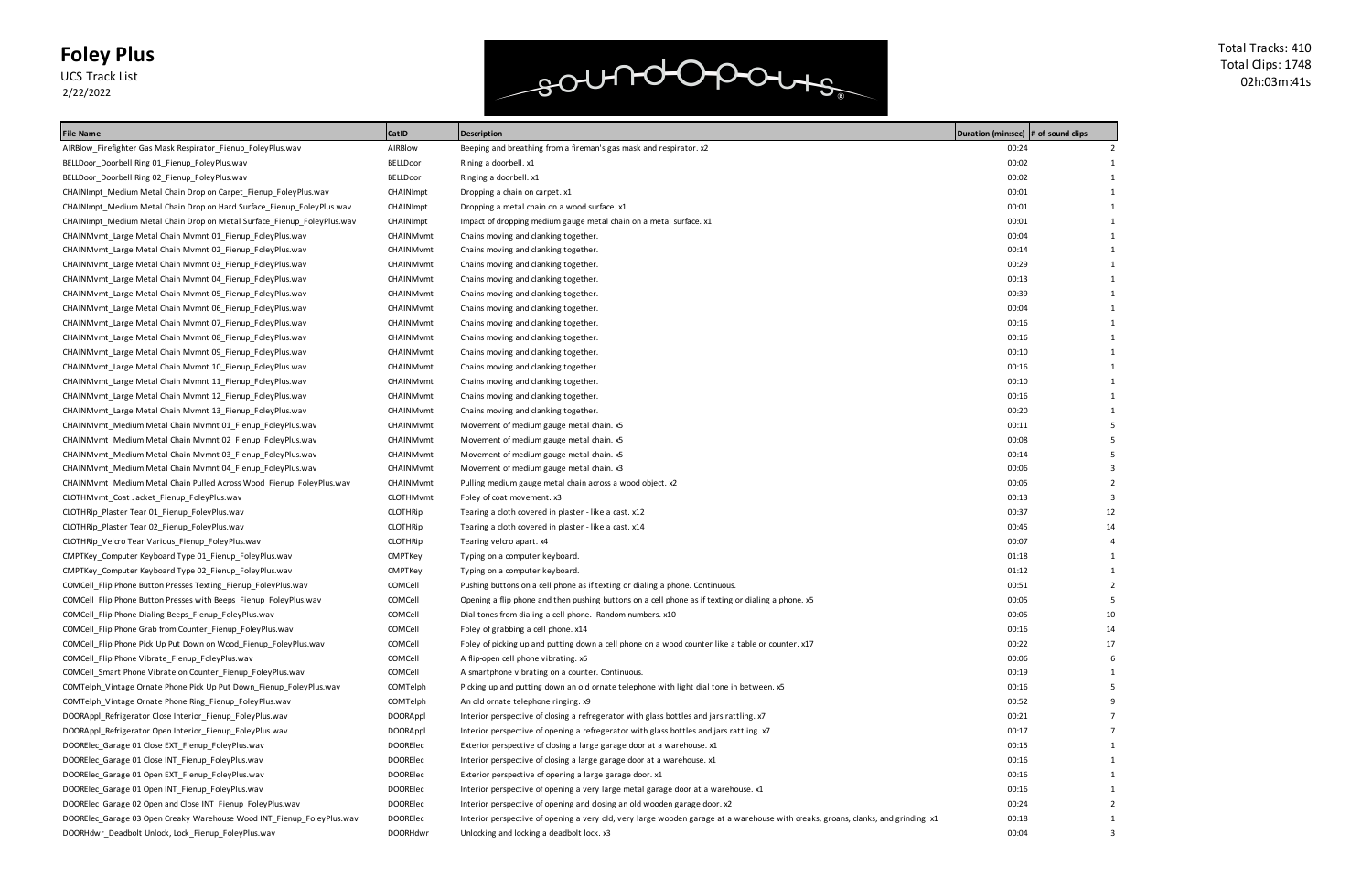UCS Track List 2/22/2022

### soundopours

| File Name                                                               | CatID            | <b>Description</b>                                                                                                                | Duration (min:sec)  # of sound clips |    |
|-------------------------------------------------------------------------|------------------|-----------------------------------------------------------------------------------------------------------------------------------|--------------------------------------|----|
| AIRBlow_Firefighter Gas Mask Respirator_Fienup_FoleyPlus.wav            | AIRBIOW          | Beeping and breathing from a fireman's gas mask and respirator. x2                                                                | 00:24                                |    |
| BELLDoor Doorbell Ring 01 Fienup FoleyPlus.wav                          | <b>BELLDoor</b>  | Rining a doorbell. x1                                                                                                             | 00:02                                |    |
| BELLDoor_Doorbell Ring 02_Fienup_FoleyPlus.wav                          | <b>BELLDoor</b>  | Ringing a doorbell. x1                                                                                                            | 00:02                                |    |
| CHAINImpt_Medium Metal Chain Drop on Carpet_Fienup_FoleyPlus.wav        | CHAINImpt        | Dropping a chain on carpet. x1                                                                                                    | 00:01                                |    |
| CHAINImpt Medium Metal Chain Drop on Hard Surface Fienup FoleyPlus.wav  | CHAINImpt        | Dropping a metal chain on a wood surface. x1                                                                                      | 00:01                                |    |
| CHAINImpt_Medium Metal Chain Drop on Metal Surface_Fienup_FoleyPlus.wav | <b>CHAINImpt</b> | Impact of dropping medium gauge metal chain on a metal surface. x1                                                                | 00:01                                |    |
| CHAINMvmt_Large Metal Chain Mvmnt 01_Fienup_FoleyPlus.wav               | CHAINMymt        | Chains moving and clanking together.                                                                                              | 00:04                                |    |
| CHAINMvmt_Large Metal Chain Mvmnt 02_Fienup_FoleyPlus.wav               | CHAINMvmt        | Chains moving and clanking together.                                                                                              | 00:14                                |    |
| CHAINMvmt_Large Metal Chain Mvmnt 03_Fienup_FoleyPlus.wav               | CHAINMymt        | Chains moving and clanking together.                                                                                              | 00:29                                |    |
| CHAINMvmt_Large Metal Chain Mvmnt 04_Fienup_FoleyPlus.wav               | CHAINMvmt        | Chains moving and clanking together.                                                                                              | 00:13                                |    |
| CHAINMvmt_Large Metal Chain Mvmnt 05_Fienup_FoleyPlus.wav               | CHAINMvmt        | Chains moving and clanking together.                                                                                              | 00:39                                |    |
| CHAINMvmt_Large Metal Chain Mvmnt 06_Fienup_FoleyPlus.wav               | CHAINMymt        | Chains moving and clanking together.                                                                                              | 00:04                                |    |
| CHAINMvmt_Large Metal Chain Mvmnt 07_Fienup_FoleyPlus.wav               | CHAINMvmt        | Chains moving and clanking together.                                                                                              | 00:16                                |    |
| CHAINMvmt Large Metal Chain Mvmnt 08_Fienup_FoleyPlus.wav               | CHAINMvmt        | Chains moving and clanking together.                                                                                              | 00:16                                |    |
| CHAINMvmt_Large Metal Chain Mvmnt 09_Fienup_FoleyPlus.wav               | CHAINMvmt        | Chains moving and clanking together.                                                                                              | 00:10                                |    |
| CHAINMvmt_Large Metal Chain Mvmnt 10_Fienup_FoleyPlus.wav               | CHAINMvmt        | Chains moving and clanking together.                                                                                              | 00:16                                |    |
| CHAINMvmt Large Metal Chain Mvmnt 11_Fienup_FoleyPlus.wav               | CHAINMvmt        | Chains moving and clanking together.                                                                                              | 00:10                                |    |
| CHAINMvmt_Large Metal Chain Mvmnt 12_Fienup_FoleyPlus.wav               | CHAINMymt        | Chains moving and clanking together.                                                                                              | 00:16                                |    |
| CHAINMvmt Large Metal Chain Mvmnt 13 Fienup FoleyPlus.wav               | CHAINMvmt        | Chains moving and clanking together.                                                                                              | 00:20                                |    |
| CHAINMvmt_Medium Metal Chain Mvmnt 01_Fienup_FoleyPlus.wav              | CHAINMvmt        | Movement of medium gauge metal chain. x5                                                                                          | 00:11                                |    |
| CHAINMvmt_Medium Metal Chain Mvmnt 02_Fienup_FoleyPlus.wav              | CHAINMvmt        | Movement of medium gauge metal chain. x5                                                                                          | 00:08                                |    |
| CHAINMvmt_Medium Metal Chain Mvmnt 03_Fienup_FoleyPlus.wav              | CHAINMvmt        | Movement of medium gauge metal chain. x5                                                                                          | 00:14                                |    |
| CHAINMvmt Medium Metal Chain Mvmnt 04 Fienup FoleyPlus.wav              | CHAINMvmt        | Movement of medium gauge metal chain. x3                                                                                          | 00:06                                |    |
| CHAINMvmt_Medium Metal Chain Pulled Across Wood_Fienup_FoleyPlus.wav    | CHAINMymt        | Pulling medium gauge metal chain across a wood object. x2                                                                         | 00:05                                |    |
| CLOTHMvmt_Coat Jacket_Fienup_FoleyPlus.wav                              | <b>CLOTHMvmt</b> | Foley of coat movement. x3                                                                                                        | 00:13                                |    |
| CLOTHRip_Plaster Tear 01_Fienup_FoleyPlus.wav                           | <b>CLOTHRip</b>  | Tearing a cloth covered in plaster - like a cast. x12                                                                             | 00:37                                | 12 |
| CLOTHRip_Plaster Tear 02_Fienup_FoleyPlus.wav                           | <b>CLOTHRip</b>  | Tearing a cloth covered in plaster - like a cast. x14                                                                             | 00:45                                | 14 |
| CLOTHRip_Velcro Tear Various_Fienup_FoleyPlus.wav                       | <b>CLOTHRip</b>  | Tearing velcro apart. x4                                                                                                          | 00:07                                |    |
| CMPTKey_Computer Keyboard Type 01_Fienup_FoleyPlus.wav                  | CMPTKey          | Typing on a computer keyboard.                                                                                                    | 01:18                                |    |
| CMPTKey_Computer Keyboard Type 02_Fienup_FoleyPlus.wav                  | CMPTKey          | Typing on a computer keyboard.                                                                                                    | 01:12                                |    |
| COMCell Flip Phone Button Presses Texting Fienup FoleyPlus.wav          | COMCell          | Pushing buttons on a cell phone as if texting or dialing a phone. Continuous.                                                     | 00:51                                |    |
| COMCell_Flip Phone Button Presses with Beeps_Fienup_FoleyPlus.wav       | COMCell          | Opening a flip phone and then pushing buttons on a cell phone as if texting or dialing a phone. x5                                | 00:05                                |    |
| COMCell_Flip Phone Dialing Beeps_Fienup_FoleyPlus.wav                   | COMCell          | Dial tones from dialing a cell phone. Random numbers. x10                                                                         | 00:05                                | 10 |
| COMCell_Flip Phone Grab from Counter_Fienup_FoleyPlus.wav               | COMCell          | Foley of grabbing a cell phone. x14                                                                                               | 00:16                                | 14 |
| COMCell Flip Phone Pick Up Put Down on Wood Fienup FoleyPlus.wav        | COMCell          | Foley of picking up and putting down a cell phone on a wood counter like a table or counter. x17                                  | 00:22                                | 17 |
| COMCell_Flip Phone Vibrate_Fienup_FoleyPlus.wav                         | COMCell          | A flip-open cell phone vibrating. x6                                                                                              | 00:06                                |    |
| COMCell_Smart Phone Vibrate on Counter_Fienup_FoleyPlus.wav             | COMCell          | A smartphone vibrating on a counter. Continuous.                                                                                  | 00:19                                |    |
| COMTelph_Vintage Ornate Phone Pick Up Put Down_Fienup_FoleyPlus.wav     | COMTelph         | Picking up and putting down an old ornate telephone with light dial tone in between. x5                                           | 00:16                                |    |
| COMTelph_Vintage Ornate Phone Ring_Fienup_FoleyPlus.wav                 | COMTelph         | An old ornate telephone ringing. x9                                                                                               | 00:52                                |    |
| DOORAppl Refrigerator Close Interior Fienup FoleyPlus.wav               | <b>DOORAppl</b>  | Interior perspective of closing a refregerator with glass bottles and jars rattling. x7                                           | 00:21                                |    |
| DOORAppl Refrigerator Open Interior_Fienup_FoleyPlus.wav                | <b>DOORAppl</b>  | Interior perspective of opening a refregerator with glass bottles and jars rattling. x7                                           | 00:17                                |    |
| DOORElec_Garage 01 Close EXT_Fienup_FoleyPlus.wav                       | DOORElec         | Exterior perspective of closing a large garage door at a warehouse. x1                                                            | 00:15                                |    |
| DOORElec_Garage 01 Close INT_Fienup_FoleyPlus.wav                       | DOORElec         | Interior perspective of closing a large garage door at a warehouse. x1                                                            | 00:16                                |    |
| DOORElec_Garage 01 Open EXT_Fienup_FoleyPlus.wav                        | <b>DOORElec</b>  | Exterior perspective of opening a large garage door. x1                                                                           | 00:16                                |    |
| DOORElec_Garage 01 Open INT_Fienup_FoleyPlus.wav                        | DOORElec         | Interior perspective of opening a very large metal garage door at a warehouse. x1                                                 | 00:16                                |    |
| DOORElec_Garage 02 Open and Close INT_Fienup_FoleyPlus.wav              | DOOREIec         | Interior perspective of opening and closing an old wooden garage door. x2                                                         | 00:24                                |    |
| DOORElec_Garage 03 Open Creaky Warehouse Wood INT_Fienup_FoleyPlus.wav  | DOOREIec         | Interior perspective of opening a very old, very large wooden garage at a warehouse with creaks, groans, clanks, and grinding. x1 | 00:18                                |    |
| DOORHdwr_Deadbolt Unlock, Lock_Fienup_FoleyPlus.wav                     | <b>DOORHdwr</b>  | Unlocking and locking a deadbolt lock. x3                                                                                         | 00:04                                | 3  |
|                                                                         |                  |                                                                                                                                   |                                      |    |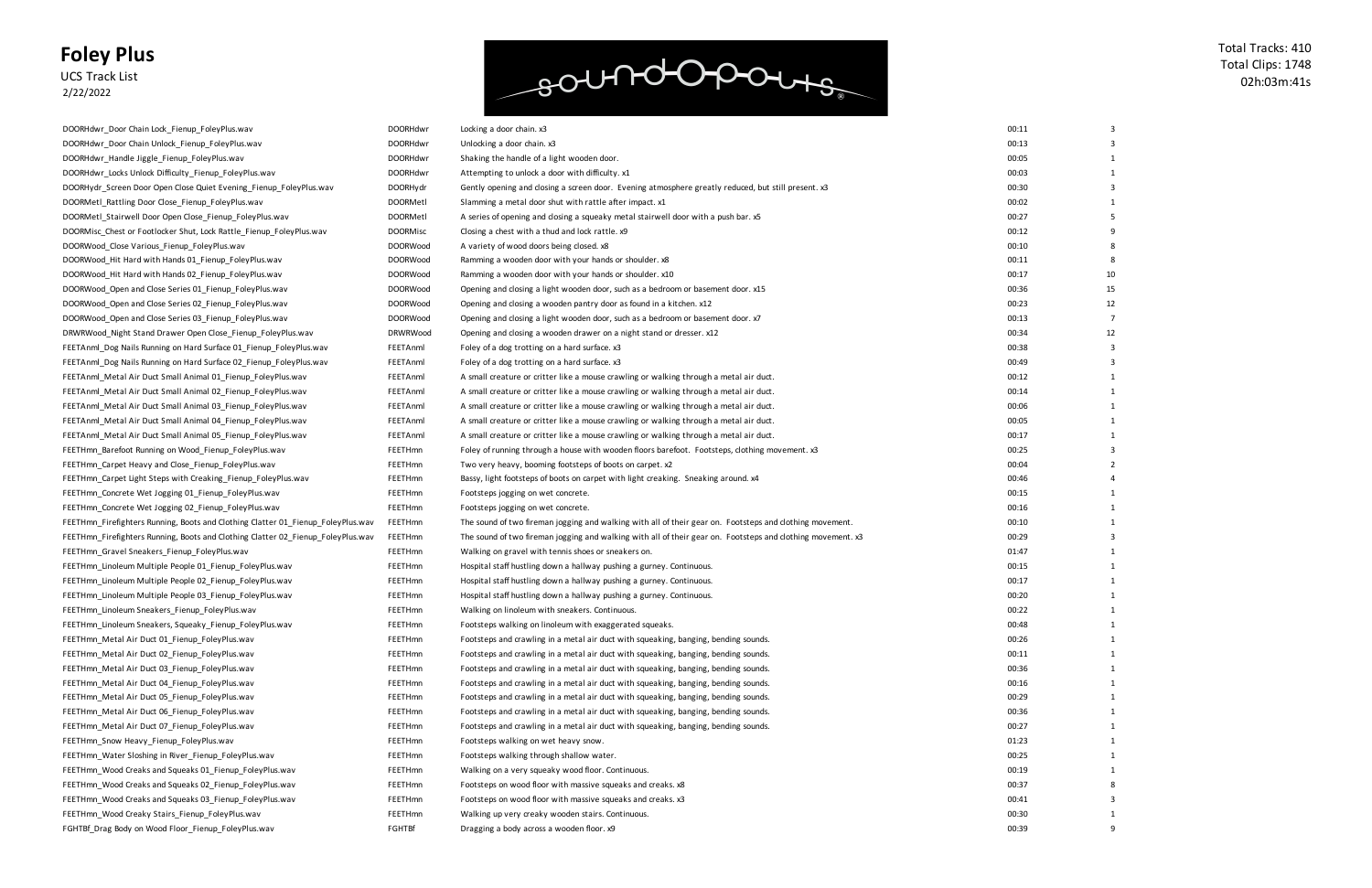UCS Track List 2/22/2022

## soundopours

| 00:11 | 3                       |
|-------|-------------------------|
| 00:13 | 3                       |
| 00:05 | 1                       |
| 00:03 | 1                       |
| 00:30 | 3                       |
| 00:02 | 1                       |
| 00:27 | 5                       |
| 00:12 | 9                       |
| 00:10 | 8                       |
| 00:11 | 8                       |
| 00:17 | 10                      |
| 00:36 | 15                      |
| 00:23 | 12                      |
| 00:13 | 7                       |
| 00:34 | 12                      |
| 00:38 | 3                       |
| 00:49 | 3                       |
| 00:12 | 1                       |
| 00:14 | $\mathbf{1}$            |
| 00:06 | 1                       |
| 00:05 | 1                       |
| 00:17 | 1                       |
| 00:25 | 3                       |
| 00:04 | $\overline{\mathbf{c}}$ |
| 00:46 | 4                       |
| 00:15 | 1                       |
| 00:16 | 1                       |
| 00:10 | 1                       |
| 00:29 | 3                       |
| 01:47 | 1                       |
| 00:15 | 1                       |
| 00:17 | 1                       |
| 00:20 | 1                       |
| 00:22 | 1                       |
| 00:48 | 1                       |
| 00:26 | 1                       |
| 00:11 | $\overline{1}$          |
| 00:36 | 1                       |
| 00:16 | 1                       |
| 00:29 | 1                       |
| 00:36 | 1                       |
| 00:27 | 1                       |
| 01:23 | 1                       |
| 00:25 | 1                       |
| 00:19 | 1                       |
| 00:37 | 8                       |
| 00:41 | 3                       |
| 00:30 | 1                       |
| 00:39 | 9                       |

| DOORHdwr_Door Chain Lock_Fienup_FoleyPlus.wav                                    | <b>DOORHdwr</b> | Locking a door chain. x3                                                                                    | 00:11 |    |
|----------------------------------------------------------------------------------|-----------------|-------------------------------------------------------------------------------------------------------------|-------|----|
| DOORHdwr_Door Chain Unlock_Fienup_FoleyPlus.wav                                  | <b>DOORHdwr</b> | Unlocking a door chain. x3                                                                                  | 00:13 |    |
| DOORHdwr_Handle Jiggle_Fienup_FoleyPlus.wav                                      | <b>DOORHdwr</b> | Shaking the handle of a light wooden door.                                                                  | 00:05 |    |
| DOORHdwr_Locks Unlock Difficulty_Fienup_FoleyPlus.wav                            | <b>DOORHdwr</b> | Attempting to unlock a door with difficulty. x1                                                             | 00:03 |    |
| DOORHydr_Screen Door Open Close Quiet Evening_Fienup_FoleyPlus.wav               | <b>DOORHydr</b> | Gently opening and closing a screen door. Evening atmosphere greatly reduced, but still present. x3         | 00:30 |    |
| DOORMetl_Rattling Door Close_Fienup_FoleyPlus.wav                                | <b>DOORMetl</b> | Slamming a metal door shut with rattle after impact. x1                                                     | 00:02 |    |
| DOORMetl_Stairwell Door Open Close_Fienup_FoleyPlus.wav                          | <b>DOORMetl</b> | A series of opening and closing a squeaky metal stairwell door with a push bar. x5                          | 00:27 |    |
| DOORMisc_Chest or Footlocker Shut, Lock Rattle_Fienup_FoleyPlus.wav              | <b>DOORMISC</b> | Closing a chest with a thud and lock rattle. x9                                                             | 00:12 |    |
| DOORWood_Close Various_Fienup_FoleyPlus.wav                                      | <b>DOORWood</b> | A variety of wood doors being closed. x8                                                                    | 00:10 |    |
| DOORWood_Hit Hard with Hands 01_Fienup_FoleyPlus.wav                             | <b>DOORWood</b> | Ramming a wooden door with your hands or shoulder. x8                                                       | 00:11 |    |
| DOORWood_Hit Hard with Hands 02_Fienup_FoleyPlus.wav                             | <b>DOORWood</b> | Ramming a wooden door with your hands or shoulder. x10                                                      | 00:17 | 10 |
| DOORWood_Open and Close Series 01_Fienup_FoleyPlus.wav                           | <b>DOORWood</b> | Opening and closing a light wooden door, such as a bedroom or basement door. x15                            | 00:36 | 15 |
| DOORWood_Open and Close Series 02_Fienup_FoleyPlus.wav                           | <b>DOORWood</b> | Opening and closing a wooden pantry door as found in a kitchen. x12                                         | 00:23 | 12 |
| DOORWood_Open and Close Series 03_Fienup_FoleyPlus.wav                           | <b>DOORWood</b> | Opening and closing a light wooden door, such as a bedroom or basement door. x7                             | 00:13 |    |
| DRWRWood_Night Stand Drawer Open Close_Fienup_FoleyPlus.wav                      | <b>DRWRWood</b> | Opening and closing a wooden drawer on a night stand or dresser. x12                                        | 00:34 | 12 |
| FEETAnml_Dog Nails Running on Hard Surface 01_Fienup_FoleyPlus.wav               | FEETAnml        | Foley of a dog trotting on a hard surface. x3                                                               | 00:38 |    |
| FEETAnml_Dog Nails Running on Hard Surface 02_Fienup_FoleyPlus.wav               | FEETAnml        | Foley of a dog trotting on a hard surface. x3                                                               | 00:49 |    |
| FEETAnml_Metal Air Duct Small Animal 01_Fienup_FoleyPlus.wav                     | FEETAnml        | A small creature or critter like a mouse crawling or walking through a metal air duct.                      | 00:12 |    |
| FEETAnml_Metal Air Duct Small Animal 02_Fienup_FoleyPlus.wav                     | FEETAnml        | A small creature or critter like a mouse crawling or walking through a metal air duct.                      | 00:14 |    |
| FEETAnml Metal Air Duct Small Animal 03 Fienup FoleyPlus.wav                     | FEETAnml        | A small creature or critter like a mouse crawling or walking through a metal air duct.                      | 00:06 |    |
| FEETAnml_Metal Air Duct Small Animal 04_Fienup_FoleyPlus.wav                     | FEETAnml        | A small creature or critter like a mouse crawling or walking through a metal air duct.                      | 00:05 |    |
| FEETAnml_Metal Air Duct Small Animal 05_Fienup_FoleyPlus.wav                     | FEETAnml        | A small creature or critter like a mouse crawling or walking through a metal air duct.                      | 00:17 |    |
| FEETHmn_Barefoot Running on Wood_Fienup_FoleyPlus.wav                            | <b>FEETHmn</b>  | Foley of running through a house with wooden floors barefoot. Footsteps, clothing movement. x3              | 00:25 |    |
| FEETHmn_Carpet Heavy and Close_Fienup_FoleyPlus.wav                              | FEETHmn         | Two very heavy, booming footsteps of boots on carpet. x2                                                    | 00:04 |    |
| FEETHmn_Carpet Light Steps with Creaking_Fienup_FoleyPlus.wav                    | FEETHmn         | Bassy, light footsteps of boots on carpet with light creaking. Sneaking around. x4                          | 00:46 |    |
| FEETHmn_Concrete Wet Jogging 01_Fienup_FoleyPlus.wav                             | FEETHmn         | Footsteps jogging on wet concrete.                                                                          | 00:15 |    |
| FEETHmn_Concrete Wet Jogging 02_Fienup_FoleyPlus.wav                             | FEETHmn         | Footsteps jogging on wet concrete.                                                                          | 00:16 |    |
| FEETHmn_Firefighters Running, Boots and Clothing Clatter 01_Fienup_FoleyPlus.wav | FEETHmn         | The sound of two fireman jogging and walking with all of their gear on. Footsteps and clothing movement.    | 00:10 |    |
| FEETHmn_Firefighters Running, Boots and Clothing Clatter 02_Fienup_FoleyPlus.wav | FEETHmn         | The sound of two fireman jogging and walking with all of their gear on. Footsteps and clothing movement. x3 | 00:29 |    |
| FEETHmn_Gravel Sneakers_Fienup_FoleyPlus.wav                                     | FEETHmn         | Walking on gravel with tennis shoes or sneakers on.                                                         | 01:47 |    |
| FEETHmn_Linoleum Multiple People 01_Fienup_FoleyPlus.wav                         | FEETHmn         | Hospital staff hustling down a hallway pushing a gurney. Continuous.                                        | 00:15 |    |
| FEETHmn_Linoleum Multiple People 02_Fienup_FoleyPlus.wav                         | FEETHmn         | Hospital staff hustling down a hallway pushing a gurney. Continuous.                                        | 00:17 |    |
| FEETHmn_Linoleum Multiple People 03_Fienup_FoleyPlus.wav                         | FEETHmn         | Hospital staff hustling down a hallway pushing a gurney. Continuous.                                        | 00:20 |    |
| FEETHmn_Linoleum Sneakers_Fienup_FoleyPlus.wav                                   | FEETHmn         | Walking on linoleum with sneakers. Continuous.                                                              | 00:22 |    |
| FEETHmn_Linoleum Sneakers, Squeaky_Fienup_FoleyPlus.wav                          | FEETHmn         | Footsteps walking on linoleum with exaggerated squeaks.                                                     | 00:48 |    |
| FEETHmn_Metal Air Duct 01_Fienup_FoleyPlus.wav                                   | FEETHmn         | Footsteps and crawling in a metal air duct with squeaking, banging, bending sounds.                         | 00:26 |    |
| FEETHmn_Metal Air Duct 02_Fienup_FoleyPlus.wav                                   | FEETHmn         | Footsteps and crawling in a metal air duct with squeaking, banging, bending sounds.                         | 00:11 |    |
| FEETHmn Metal Air Duct 03 Fienup FoleyPlus.wav                                   | FEETHmn         | Footsteps and crawling in a metal air duct with squeaking, banging, bending sounds.                         | 00:36 |    |
| FEETHmn_Metal Air Duct 04_Fienup_FoleyPlus.wav                                   | FEETHmn         | Footsteps and crawling in a metal air duct with squeaking, banging, bending sounds.                         | 00:16 |    |
| FEETHmn_Metal Air Duct 05_Fienup_FoleyPlus.wav                                   | <b>FEETHmn</b>  | Footsteps and crawling in a metal air duct with squeaking, banging, bending sounds.                         | 00:29 |    |
| FEETHmn_Metal Air Duct 06_Fienup_FoleyPlus.wav                                   | <b>FEETHmn</b>  | Footsteps and crawling in a metal air duct with squeaking, banging, bending sounds.                         | 00:36 |    |
| FEETHmn_Metal Air Duct 07_Fienup_FoleyPlus.wav                                   | <b>FEETHmn</b>  | Footsteps and crawling in a metal air duct with squeaking, banging, bending sounds.                         | 00:27 |    |
| FEETHmn Snow Heavy Fienup FoleyPlus.wav                                          | FEETHmn         | Footsteps walking on wet heavy snow.                                                                        | 01:23 |    |
| FEETHmn_Water Sloshing in River_Fienup_FoleyPlus.wav                             | FEETHmn         | Footsteps walking through shallow water.                                                                    | 00:25 |    |
| FEETHmn Wood Creaks and Squeaks 01 Fienup FoleyPlus.wav                          | <b>FEETHmn</b>  | Walking on a very squeaky wood floor. Continuous.                                                           | 00:19 |    |
| FEETHmn_Wood Creaks and Squeaks 02_Fienup_FoleyPlus.wav                          | <b>FEETHmn</b>  | Footsteps on wood floor with massive squeaks and creaks. x8                                                 | 00:37 |    |
| FEETHmn_Wood Creaks and Squeaks 03_Fienup_FoleyPlus.wav                          | <b>FEETHmn</b>  | Footsteps on wood floor with massive squeaks and creaks. x3                                                 | 00:41 |    |
| FEETHmn_Wood Creaky Stairs_Fienup_FoleyPlus.wav                                  | FEETHmn         | Walking up very creaky wooden stairs. Continuous.                                                           | 00:30 |    |
| FGHTBf_Drag Body on Wood Floor_Fienup_FoleyPlus.wav                              | FGHTBf          | Dragging a body across a wooden floor. x9                                                                   | 00:39 |    |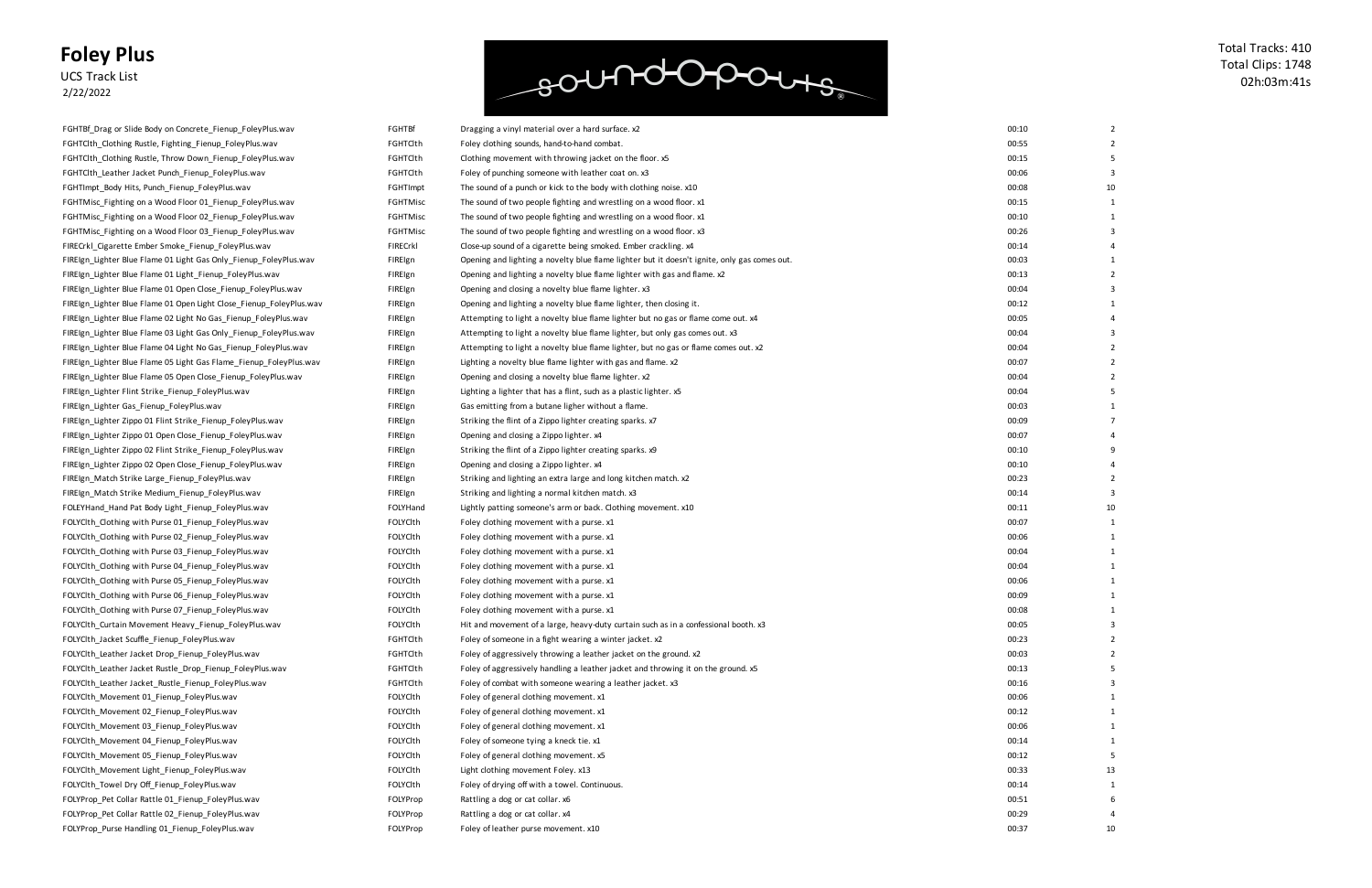UCS Track List 2/22/2022

FGHTBf\_Drag or Slide Body on Concrete\_Fienup\_FoleyPlus.wav FGHTBf Dragging a vinyl material over a hard surface. x2 FGHTClth\_Clothing Rustle, Fighting\_Fienup\_Foley Plus.wav FGHTClth\_Clothing Rustle, Throw Down\_Fienup\_FoleyPlus.wav FGHTClth\_Leather Jacket Punch\_Fienup\_Foley Plus.wav FGHTImpt\_Body Hits, Punch\_Fienup\_FoleyPlus.wav FGHTMisc\_Fighting on a Wood Floor 01\_Fienup\_FoleyPlus.wav FGHTMisc\_Fighting on a Wood Floor 02\_Fienup\_FoleyPlus.wav FGHTMisc\_Fighting on a Wood Floor 03\_Fienup\_FoleyPlus.wav FIRECrkl\_Cigarette Ember Smoke\_Fienup\_FoleyPlus.wav FIREIgn\_Lighter Blue Flame 01 Light Gas Only\_Fienup\_FoleyPlus.wav FIREIgn\_Lighter Blue Flame 01 Light\_Fienup\_FoleyPlus.wav FIREIgn\_Lighter Blue Flame 01 Open Close\_Fienup\_FoleyPlus.wav FIREIgn\_Lighter Blue Flame 01 Open Light Close\_Fienup\_FoleyPlus.wav FIREIgn\_Lighter Blue Flame 02 Light No Gas\_Fienup\_FoleyPlus.wav FIREIgn\_Lighter Blue Flame 03 Light Gas Only\_Fienup\_FoleyPlus.wav FIREIgn\_Lighter Blue Flame 04 Light No Gas\_Fienup\_FoleyPlus.wav FIREIgn\_Lighter Blue Flame 05 Light Gas Flame\_Fienup\_FoleyPlus.wav FIREIgn\_Lighter Blue Flame 05 Open Close\_Fienup\_FoleyPlus.wav FIREIgn\_Lighter Flint Strike\_Fienup\_FoleyPlus.wav FIREIgn\_Lighter Gas\_Fienup\_FoleyPlus.wav FIREIgn\_Lighter Zippo 01 Flint Strike\_Fienup\_FoleyPlus.wav FIREIgn\_Lighter Zippo 01 Open Close\_Fienup\_FoleyPlus.wav FIREIgn\_Lighter Zippo 02 Flint Strike\_Fienup\_FoleyPlus.wav FIREIgn\_Lighter Zippo 02 Open Close\_Fienup\_FoleyPlus.wav FIREIgn\_Match Strike Large\_Fienup\_FoleyPlus.wav FIREIgn\_Match Strike Medium\_Fienup\_FoleyPlus.wav FOLEYHand\_Hand Pat Body Light\_Fienup\_FoleyPlus. wav FOLYClth\_Clothing with Purse 01\_Fienup\_Foley Plus.wav FOLYClth\_Clothing with Purse 02\_Fienup\_Foley Plus.wav FOLYClth\_Clothing with Purse 03\_Fienup\_Foley Plus.wav FOLYClth\_Clothing with Purse 04\_Fienup\_FoleyPlus.wav FOLYClth\_Clothing with Purse 05\_Fienup\_Foley Plus.wav FOLYClth\_Clothing with Purse 06\_Fienup\_Foley Plus.wav FOLYClth\_Clothing with Purse 07\_Fienup\_FoleyPlus.wav FOLYClth\_Curtain Movement Heavy\_Fienup\_FoleyPlus.wav FOLYClth Jacket Scuffle Fienup FoleyPlus.wav FOLYClth\_Leather Jacket Drop\_Fienup\_Foley Plus.wav FOLYClth\_Leather Jacket Rustle Drop\_Fienup\_FoleyPlus.wav FOLYClth\_Leather Jacket\_Rustle\_Fienup\_FoleyPlus.wav FOLYClth\_Movement 01\_Fienup\_FoleyPlus.wav FOLYClth\_Movement 02\_Fienup\_FoleyPlus.wav FOLYClth\_Movement 03\_Fienup\_FoleyPlus.wav FOLYClth\_Movement 04\_Fienup\_FoleyPlus.wav FOLYClth\_Movement 05\_Fienup\_FoleyPlus.wav FOLYClth\_Movement Light\_Fienup\_FoleyPlus.wav FOLYClth\_Towel Dry Off\_Fienup\_FoleyPlus.wav FOLYProp\_Pet Collar Rattle 01\_Fienup\_FoleyPlus.wav FOLYProp\_Pet Collar Rattle 02\_Fienup\_FoleyPlus.wav FOLYProp Purse Handling 01 Fienup FoleyPlus.wav FOLYProp FOLYProp Foley of leather purse movement. x10

### soundopours

| гопты    | Dragging a vinyi material över a naru suriace. xz                                           |
|----------|---------------------------------------------------------------------------------------------|
| FGHTClth | Foley clothing sounds, hand-to-hand combat.                                                 |
| FGHTClth | Clothing movement with throwing jacket on the floor. x5                                     |
| FGHTClth | Foley of punching someone with leather coat on. x3                                          |
| FGHTImpt | The sound of a punch or kick to the body with clothing noise. x10                           |
| FGHTMisc | The sound of two people fighting and wrestling on a wood floor. x1                          |
| FGHTMisc | The sound of two people fighting and wrestling on a wood floor. x1                          |
| FGHTMisc | The sound of two people fighting and wrestling on a wood floor. x3                          |
| FIRECrkl | Close-up sound of a cigarette being smoked. Ember crackling. x4                             |
| FIREIgn  | Opening and lighting a novelty blue flame lighter but it doesn't ignite, only gas comes out |
| FIREIgn  | Opening and lighting a novelty blue flame lighter with gas and flame. x2                    |
| FIREIgn  | Opening and closing a novelty blue flame lighter. x3                                        |
|          |                                                                                             |
| FIREIgn  | Opening and lighting a novelty blue flame lighter, then closing it.                         |
| FIREIgn  | Attempting to light a novelty blue flame lighter but no gas or flame come out. x4           |
| FIREIgn  | Attempting to light a novelty blue flame lighter, but only gas comes out. x3                |
| FIREIgn  | Attempting to light a novelty blue flame lighter, but no gas or flame comes out. x2         |
| FIREIgn  | Lighting a novelty blue flame lighter with gas and flame. x2                                |
| FIREIgn  | Opening and closing a novelty blue flame lighter. x2                                        |
| FIREIgn  | Lighting a lighter that has a flint, such as a plastic lighter. x5                          |
| FIREIgn  | Gas emitting from a butane ligher without a flame.                                          |
| FIREIgn  | Striking the flint of a Zippo lighter creating sparks. x7                                   |
| FIREIgn  | Opening and closing a Zippo lighter. x4                                                     |
| FIREIgn  | Striking the flint of a Zippo lighter creating sparks. x9                                   |
| FIREIgn  | Opening and closing a Zippo lighter. x4                                                     |
| FIREIgn  | Striking and lighting an extra large and long kitchen match. x2                             |
| FIREIgn  | Striking and lighting a normal kitchen match. x3                                            |
| FOLYHand | Lightly patting someone's arm or back. Clothing movement. x10                               |
| FOLYCIth | Foley clothing movement with a purse. x1                                                    |
| FOLYCIth | Foley clothing movement with a purse. x1                                                    |
| FOLYCIth | Foley clothing movement with a purse. x1                                                    |
| FOLYCIth | Foley clothing movement with a purse. x1                                                    |
| FOLYCIth | Foley clothing movement with a purse. x1                                                    |
| FOLYCIth | Foley clothing movement with a purse. x1                                                    |
| FOLYCIth | Foley clothing movement with a purse. x1                                                    |
| FOLYCIth | Hit and movement of a large, heavy-duty curtain such as in a confessional booth. x3         |
| FGHTClth | Foley of someone in a fight wearing a winter jacket. x2                                     |
| FGHTClth | Foley of aggressively throwing a leather jacket on the ground. x2                           |
| FGHTClth | Foley of aggressively handling a leather jacket and throwing it on the ground. x5           |
| FGHTClth | Foley of combat with someone wearing a leather jacket. x3                                   |
| FOLYCIth | Foley of general clothing movement. x1                                                      |
| FOLYCIth | Foley of general clothing movement. x1                                                      |
| FOLYCIth | Foley of general clothing movement. x1                                                      |
| FOLYCIth | Foley of someone tying a kneck tie. x1                                                      |
| FOLYCIth | Foley of general clothing movement. x5                                                      |
| FOLYCIth |                                                                                             |
|          | Light clothing movement Foley. x13                                                          |
| FOLYCIth | Foley of drying off with a towel. Continuous.                                               |
| FOLYProp | Rattling a dog or cat collar. x6                                                            |
| FOLYProp | Rattling a dog or cat collar. x4                                                            |
|          |                                                                                             |

| 00:10 | 2                       |
|-------|-------------------------|
| 00:55 | $\overline{2}$          |
| 00:15 | 5                       |
| 00:06 | 3                       |
| 00:08 | 10                      |
| 00:15 | 1                       |
| 00:10 | 1                       |
| 00:26 | 3                       |
| 00:14 | 4                       |
| 00:03 | 1                       |
| 00:13 | $\overline{2}$          |
| 00:04 | 3                       |
| 00:12 | $\mathbf 1$             |
| 00:05 | 4                       |
| 00:04 | 3                       |
| 00:04 | 2                       |
| 00:07 | $\overline{\mathbf{c}}$ |
| 00:04 | $\overline{\mathbf{c}}$ |
| 00:04 | 5                       |
| 00:03 | $\overline{1}$          |
| 00:09 | 7                       |
| 00:07 | 4                       |
| 00:10 | 9                       |
| 00:10 | 4                       |
| 00:23 | $\overline{2}$          |
| 00:14 | 3                       |
| 00:11 | 10                      |
| 00:07 | 1                       |
| 00:06 | 1                       |
| 00:04 | 1                       |
| 00:04 | 1                       |
| 00:06 | 1                       |
| 00:09 | 1                       |
| 00:08 | 1                       |
| 00:05 | 3                       |
| 00:23 | 2                       |
| 00:03 | 2                       |
| 00:13 | 5                       |
| 00:16 | 3                       |
| 00:06 | 1                       |
| 00:12 | $\overline{1}$          |
| 00:06 | 1                       |
| 00:14 | 1                       |
| 00:12 | 5                       |
| 00:33 | 13                      |
| 00:14 | 1                       |
| 00:51 | 6                       |
| 00:29 | 4                       |
| 00:37 | 10                      |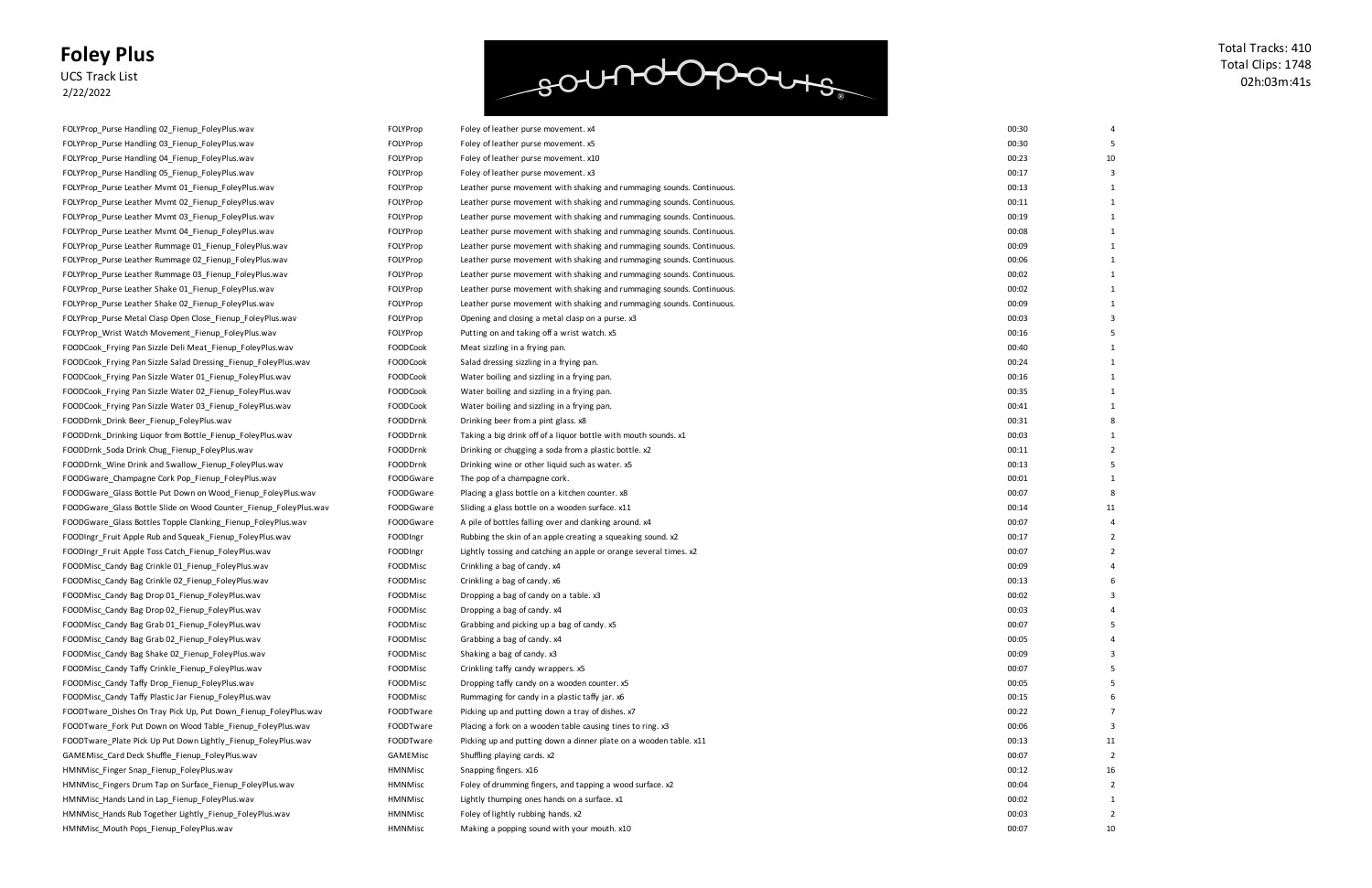UCS Track List 2/22/2022

### soundopours

| 00:30 | 4                       |
|-------|-------------------------|
| 00:30 | 5                       |
| 00:23 | 10                      |
| 00:17 | 3                       |
| 00:13 | 1                       |
| 00:11 | $\mathbf{1}$            |
| 00:19 | 1                       |
| 00:08 | 1                       |
| 00:09 | $\mathbf{1}$            |
| 00:06 | 1                       |
| 00:02 | 1                       |
| 00:02 | $\mathbf{1}$            |
| 00:09 | $\mathbf 1$             |
| 00:03 | 3                       |
| 00:16 | 5                       |
| 00:40 | 1                       |
| 00:24 | 1                       |
| 00:16 | $\mathbf{1}$            |
| 00:35 | 1                       |
| 00:41 | $\mathbf{1}$            |
| 00:31 | 8                       |
| 00:03 | 1                       |
| 00:11 | 2                       |
| 00:13 | 5                       |
| 00:01 | 1                       |
| 00:07 | 8                       |
| 00:14 | 11                      |
| 00:07 | 4                       |
| 00:17 | 2                       |
| 00:07 | $\overline{\mathbf{c}}$ |
| 00:09 | 4                       |
| 00:13 | 6                       |
| 00:02 | 3                       |
| 00:03 | 4                       |
| 00:07 | 5                       |
| 00:05 | 4                       |
| 00:09 | 3                       |
| 00:07 | 5                       |
| 00:05 | 5                       |
| 00:15 | 6                       |
| 00:22 | 7                       |
| 00:06 | 3                       |
| 00:13 | 11                      |
| 00:07 | 2                       |
| 00:12 | 16                      |
| 00:04 | 2                       |
| 00:02 | 1                       |
| 00:03 | $\overline{\mathbf{c}}$ |
| 00:07 | 10                      |

| FOLYProp_Purse Handling UZ_Fienup_FoleyPlus.wav                   | <b>FOLYPROP</b> | Foley of leather purse movement. x4                                   |
|-------------------------------------------------------------------|-----------------|-----------------------------------------------------------------------|
| FOLYProp_Purse Handling 03_Fienup_FoleyPlus.wav                   | FOLYProp        | Foley of leather purse movement. x5                                   |
| FOLYProp Purse Handling 04 Fienup FoleyPlus.wav                   | FOLYProp        | Foley of leather purse movement. x10                                  |
| FOLYProp_Purse Handling 05_Fienup_FoleyPlus.wav                   | FOLYProp        | Foley of leather purse movement. x3                                   |
| FOLYProp Purse Leather Mvmt 01 Fienup FoleyPlus.wav               | FOLYProp        | Leather purse movement with shaking and rummaging sounds. Continuous. |
| FOLYProp_Purse Leather Mvmt 02_Fienup_FoleyPlus.wav               | FOLYProp        | Leather purse movement with shaking and rummaging sounds. Continuous. |
| FOLYProp_Purse Leather Mvmt 03_Fienup_FoleyPlus.wav               | FOLYProp        | Leather purse movement with shaking and rummaging sounds. Continuous. |
| FOLYProp_Purse Leather Mvmt 04_Fienup_FoleyPlus.wav               | FOLYProp        | Leather purse movement with shaking and rummaging sounds. Continuous. |
| FOLYProp Purse Leather Rummage 01 Fienup FoleyPlus.wav            | FOLYProp        | Leather purse movement with shaking and rummaging sounds. Continuous. |
| FOLYProp_Purse Leather Rummage 02_Fienup_FoleyPlus.wav            | FOLYProp        | Leather purse movement with shaking and rummaging sounds. Continuous. |
| FOLYProp_Purse Leather Rummage 03_Fienup_FoleyPlus.wav            | FOLYProp        | Leather purse movement with shaking and rummaging sounds. Continuous. |
| FOLYProp_Purse Leather Shake 01_Fienup_FoleyPlus.wav              | FOLYProp        | Leather purse movement with shaking and rummaging sounds. Continuous. |
| FOLYProp_Purse Leather Shake 02_Fienup_FoleyPlus.wav              | FOLYProp        | Leather purse movement with shaking and rummaging sounds. Continuous. |
| FOLYProp_Purse Metal Clasp Open Close_Fienup_FoleyPlus.wav        | FOLYProp        | Opening and closing a metal clasp on a purse. x3                      |
| FOLYProp_Wrist Watch Movement_Fienup_FoleyPlus.wav                | FOLYProp        | Putting on and taking off a wrist watch. x5                           |
| FOODCook_Frying Pan Sizzle Deli Meat_Fienup_FoleyPlus.wav         | <b>FOODCook</b> | Meat sizzling in a frying pan.                                        |
| FOODCook_Frying Pan Sizzle Salad Dressing_Fienup_FoleyPlus.wav    | <b>FOODCook</b> | Salad dressing sizzling in a frying pan.                              |
| FOODCook Frying Pan Sizzle Water 01 Fienup FoleyPlus.wav          | <b>FOODCook</b> | Water boiling and sizzling in a frying pan.                           |
| FOODCook_Frying Pan Sizzle Water 02_Fienup_FoleyPlus.wav          | FOODCook        | Water boiling and sizzling in a frying pan.                           |
| FOODCook_Frying Pan Sizzle Water 03_Fienup_FoleyPlus.wav          | <b>FOODCook</b> | Water boiling and sizzling in a frying pan.                           |
| FOODDrnk_Drink Beer_Fienup_FoleyPlus.wav                          | FOODDrnk        | Drinking beer from a pint glass. x8                                   |
| FOODDrnk Drinking Liquor from Bottle Fienup FoleyPlus.wav         | FOODDrnk        | Taking a big drink off of a liquor bottle with mouth sounds. x1       |
| FOODDrnk Soda Drink Chug Fienup FoleyPlus.wav                     | FOODDrnk        | Drinking or chugging a soda from a plastic bottle. x2                 |
| FOODDrnk_Wine Drink and Swallow_Fienup_FoleyPlus.wav              | FOODDrnk        | Drinking wine or other liquid such as water. x5                       |
| FOODGware_Champagne Cork Pop_Fienup_FoleyPlus.wav                 | FOODGware       | The pop of a champagne cork.                                          |
| FOODGware_Glass Bottle Put Down on Wood_Fienup_FoleyPlus.wav      | FOODGware       | Placing a glass bottle on a kitchen counter. x8                       |
| FOODGware_Glass Bottle Slide on Wood Counter_Fienup_FoleyPlus.wav | FOODGware       | Sliding a glass bottle on a wooden surface. x11                       |
| FOODGware_Glass Bottles Topple Clanking_Fienup_FoleyPlus.wav      | FOODGware       | A pile of bottles falling over and clanking around. x4                |
| FOODIngr_Fruit Apple Rub and Squeak_Fienup_FoleyPlus.wav          | FOODIngr        | Rubbing the skin of an apple creating a squeaking sound. $x2$         |
| FOODIngr_Fruit Apple Toss Catch_Fienup_FoleyPlus.wav              | FOODIngr        | Lightly tossing and catching an apple or orange several times. x2     |
| FOODMisc_Candy Bag Crinkle 01_Fienup_FoleyPlus.wav                | FOODMisc        | Crinkling a bag of candy. x4                                          |
| FOODMisc Candy Bag Crinkle 02 Fienup FoleyPlus.wav                | FOODMisc        | Crinkling a bag of candy. x6                                          |
| FOODMisc_Candy Bag Drop 01_Fienup_FoleyPlus.wav                   | FOODMisc        | Dropping a bag of candy on a table. x3                                |
| FOODMisc Candy Bag Drop 02 Fienup FoleyPlus.wav                   | FOODMisc        | Dropping a bag of candy. x4                                           |
| FOODMisc Candy Bag Grab 01 Fienup FoleyPlus.wav                   | FOODMisc        | Grabbing and picking up a bag of candy. x5                            |
| FOODMisc Candy Bag Grab 02 Fienup FoleyPlus.wav                   | <b>FOODMisc</b> | Grabbing a bag of candy. x4                                           |
| FOODMisc_Candy Bag Shake 02_Fienup_FoleyPlus.wav                  | FOODMisc        | Shaking a bag of candy. x3                                            |
| FOODMisc Candy Taffy Crinkle Fienup FoleyPlus.wav                 | FOODMisc        | Crinkling taffy candy wrappers. x5                                    |
| FOODMisc Candy Taffy Drop Fienup FoleyPlus.wav                    | FOODMisc        | Dropping taffy candy on a wooden counter. x5                          |
| FOODMisc Candy Taffy Plastic Jar Fienup FoleyPlus.wav             | FOODMisc        | Rummaging for candy in a plastic taffy jar. x6                        |
| FOODTware_Dishes On Tray Pick Up, Put Down_Fienup_FoleyPlus.wav   | FOODTware       | Picking up and putting down a tray of dishes. x7                      |
| FOODTware_Fork Put Down on Wood Table_Fienup_FoleyPlus.wav        | FOODTware       | Placing a fork on a wooden table causing tines to ring. x3            |
| FOODTware_Plate Pick Up Put Down Lightly_Fienup_FoleyPlus.wav     | FOODTware       | Picking up and putting down a dinner plate on a wooden table. x11     |
| GAMEMisc Card Deck Shuffle Fienup FoleyPlus.wav                   | <b>GAMEMisc</b> | Shuffling playing cards. x2                                           |
| HMNMisc Finger Snap Fienup FoleyPlus.wav                          | <b>HMNMisc</b>  | Snapping fingers. x16                                                 |
| HMNMisc_Fingers Drum Tap on Surface_Fienup_FoleyPlus.wav          | <b>HMNMisc</b>  | Foley of drumming fingers, and tapping a wood surface. x2             |
| HMNMisc_Hands Land in Lap_Fienup_FoleyPlus.wav                    | <b>HMNMisc</b>  | Lightly thumping ones hands on a surface. x1                          |
| HMNMisc_Hands Rub Together Lightly_Fienup_FoleyPlus.wav           | <b>HMNMisc</b>  | Foley of lightly rubbing hands. x2                                    |
| HMNMisc_Mouth Pops_Fienup_FoleyPlus.wav                           | <b>HMNMisc</b>  | Making a popping sound with your mouth. x10                           |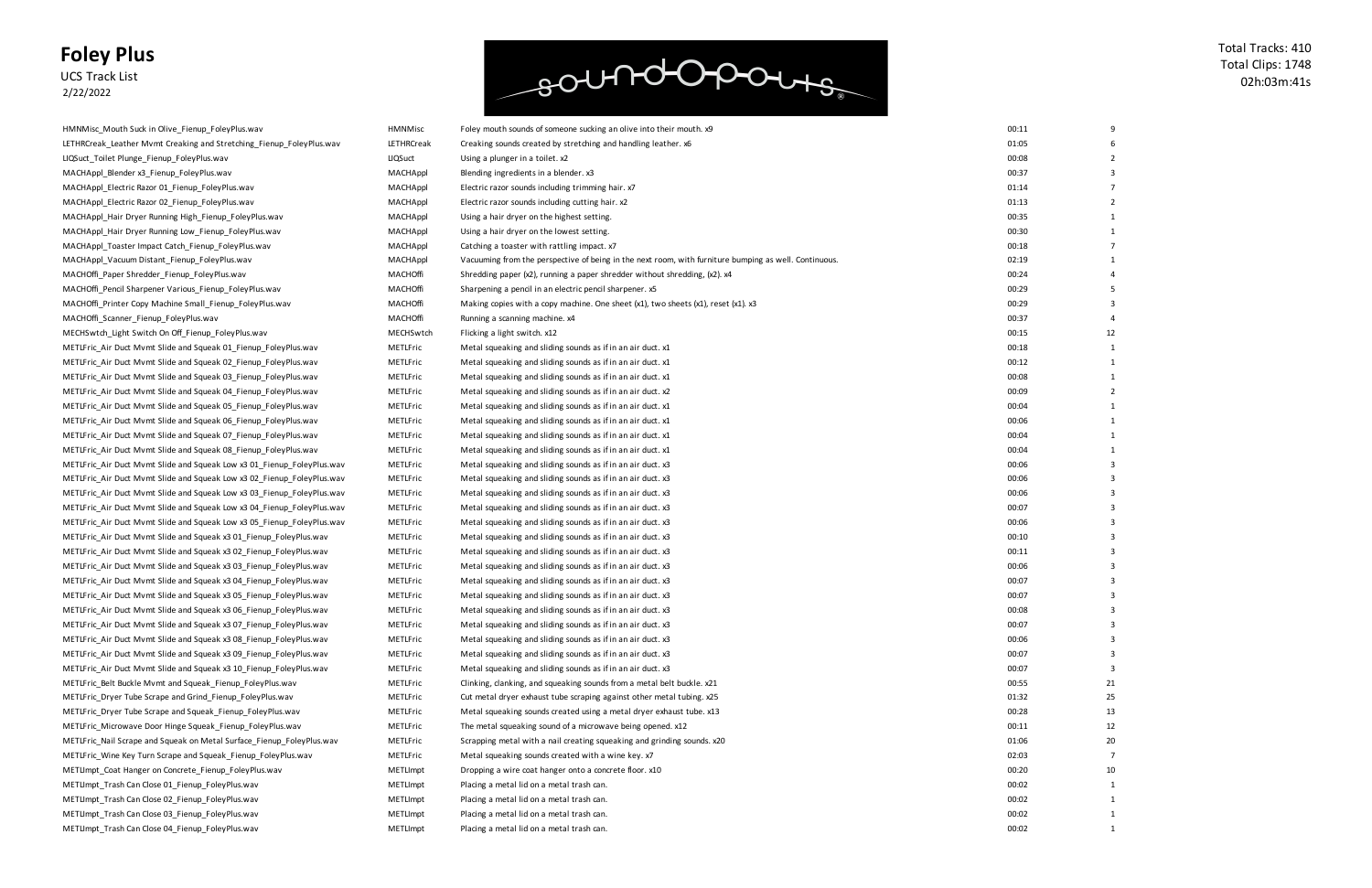UCS Track List 2/22/2022

### soundopours

| HMNMisc Mouth Suck in Olive Fienup FoleyPlus.wav                       |  |  |  |
|------------------------------------------------------------------------|--|--|--|
| LETHRCreak_Leather Mvmt Creaking and Stretching_Fienup_FoleyPlus.wav   |  |  |  |
| LIQSuct Toilet Plunge Fienup FoleyPlus.wav                             |  |  |  |
| MACHAppl_Blender x3_Fienup_FoleyPlus.wav                               |  |  |  |
| MACHAppl_Electric Razor 01_Fienup_FoleyPlus.wav                        |  |  |  |
| MACHAppl_Electric Razor 02_Fienup_FoleyPlus.wav                        |  |  |  |
| MACHAppl_Hair Dryer Running High_Fienup_FoleyPlus.wav                  |  |  |  |
| MACHAppl_Hair Dryer Running Low_Fienup_FoleyPlus.wav                   |  |  |  |
| MACHAppl_Toaster Impact Catch_Fienup_FoleyPlus.wav                     |  |  |  |
| MACHAppl Vacuum Distant Fienup FoleyPlus.wav                           |  |  |  |
| MACHOffi_Paper Shredder_Fienup_FoleyPlus.wav                           |  |  |  |
| MACHOffi_Pencil Sharpener Various_Fienup_FoleyPlus.wav                 |  |  |  |
| MACHOffi_Printer Copy Machine Small_Fienup_FoleyPlus.wav               |  |  |  |
| MACHOffi_Scanner_Fienup_FoleyPlus.wav                                  |  |  |  |
| MECHSwtch_Light Switch On Off_Fienup_FoleyPlus.wav                     |  |  |  |
| METLFric_Air Duct Mvmt Slide and Squeak 01_Fienup_FoleyPlus.wav        |  |  |  |
| METLFric_Air Duct Mvmt Slide and Squeak 02_Fienup_FoleyPlus.wav        |  |  |  |
| METLFric_Air Duct Mvmt Slide and Squeak 03_Fienup_FoleyPlus.wav        |  |  |  |
| METLFric Air Duct Mvmt Slide and Squeak 04 Fienup FoleyPlus.wav        |  |  |  |
| METLFric_Air Duct Mvmt Slide and Squeak 05_Fienup_FoleyPlus.wav        |  |  |  |
|                                                                        |  |  |  |
| METLFric_Air Duct Mvmt Slide and Squeak 06_Fienup_FoleyPlus.wav        |  |  |  |
| METLFric_Air Duct Mvmt Slide and Squeak 07_Fienup_FoleyPlus.wav        |  |  |  |
| METLFric_Air Duct Mvmt Slide and Squeak 08_Fienup_FoleyPlus.wav        |  |  |  |
| METLFric_Air Duct Mvmt Slide and Squeak Low x3 01_Fienup_FoleyPlus.wav |  |  |  |
| METLFric_Air Duct Mvmt Slide and Squeak Low x3 02_Fienup_FoleyPlus.wav |  |  |  |
| METLFric_Air Duct Mvmt Slide and Squeak Low x3 03_Fienup_FoleyPlus.wav |  |  |  |
| METLFric_Air Duct Mvmt Slide and Squeak Low x3 04_Fienup_FoleyPlus.wav |  |  |  |
| METLFric_Air Duct Mvmt Slide and Squeak Low x3 05_Fienup_FoleyPlus.wav |  |  |  |
| METLFric_Air Duct Mvmt Slide and Squeak x3 01_Fienup_FoleyPlus.wav     |  |  |  |
| METLFric_Air Duct Mvmt Slide and Squeak x3 02_Fienup_FoleyPlus.wav     |  |  |  |
| METLFric Air Duct Mvmt Slide and Squeak x3 03 Fienup FoleyPlus.wav     |  |  |  |
| METLFric Air Duct Mvmt Slide and Squeak x3 04 Fienup FoleyPlus.wav     |  |  |  |
| METLFric_Air Duct Mvmt Slide and Squeak x3 05_Fienup_FoleyPlus.wav     |  |  |  |
| METLFric Air Duct Mvmt Slide and Squeak x3 06 Fienup FoleyPlus.wav     |  |  |  |
| METLFric_Air Duct Mvmt Slide and Squeak x3 07_Fienup_FoleyPlus.wav     |  |  |  |
| METLFric_Air Duct Mvmt Slide and Squeak x3 08_Fienup_FoleyPlus.wav     |  |  |  |
| METLFric Air Duct Mymt Slide and Squeak x3 09 Fienup FoleyPlus.wav     |  |  |  |
| METLFric Air Duct Mvmt Slide and Squeak x3 10 Fienup FoleyPlus.wav     |  |  |  |
| METLFric Belt Buckle Mvmt and Squeak Fienup FoleyPlus.wav              |  |  |  |
| METLFric Dryer Tube Scrape and Grind Fienup FoleyPlus.wav              |  |  |  |
| METLFric_Dryer Tube Scrape and Squeak_Fienup_FoleyPlus.wav             |  |  |  |
| METLFric_Microwave Door Hinge Squeak_Fienup_FoleyPlus.wav              |  |  |  |
| METLFric Nail Scrape and Squeak on Metal Surface Fienup FoleyPlus.wav  |  |  |  |
| METLFric_Wine Key Turn Scrape and Squeak_Fienup_FoleyPlus.wav          |  |  |  |
| METLImpt_Coat Hanger on Concrete_Fienup_FoleyPlus.wav                  |  |  |  |
| METLImpt Trash Can Close 01 Fienup FoleyPlus.wav                       |  |  |  |
| METLImpt_Trash Can Close 02_Fienup_FoleyPlus.wav                       |  |  |  |
| METLImpt_Trash Can Close 03_Fienup_FoleyPlus.wav                       |  |  |  |
| METLImpt_Trash Can Close 04_Fienup_FoleyPlus.wav                       |  |  |  |

| 00:11 | 9  |
|-------|----|
| 01:05 | 6  |
| 00:08 | 2  |
| 00:37 | 3  |
| 01:14 | 7  |
| 01:13 | 2  |
| 00:35 | 1  |
| 00:30 | 1  |
| 00:18 | 7  |
| 02:19 | 1  |
| 00:24 | 4  |
| 00:29 | 5  |
| 00:29 | 3  |
| 00:37 | 4  |
| 00:15 | 12 |
| 00:18 | 1  |
| 00:12 | 1  |
| 00:08 | 1  |
| 00:09 | 2  |
| 00:04 | 1  |
| 00:06 | 1  |
| 00:04 | 1  |
| 00:04 | 1  |
| 00:06 | 3  |
| 00:06 | 3  |
| 00:06 | 3  |
| 00:07 | 3  |
| 00:06 | 3  |
| 00:10 | 3  |
| 00:11 | 3  |
| 00:06 | 3  |
| 00:07 | 3  |
| 00:07 | 3  |
| 00:08 | 3  |
| 00:07 | 3  |
| 00:06 | 3  |
| 00:07 | 3  |
| 00:07 | 3  |
| 00:55 | 21 |
| 01:32 | 25 |
| 00:28 | 13 |
| 00:11 | 12 |
| 01:06 | 20 |
| 02:03 | 7  |
| 00:20 | 10 |
| 00:02 | 1  |
| 00:02 | 1  |
| 00:02 | 1  |
| 00:02 | 1  |

| HMNMisc_Mouth Suck in Olive_Fienup_FoleyPlus.wav                       | <b>HMNMisc</b>  | Foley mouth sounds of someone sucking an olive into their mouth. x9                                   | 00:11 |    |
|------------------------------------------------------------------------|-----------------|-------------------------------------------------------------------------------------------------------|-------|----|
| LETHRCreak Leather Mvmt Creaking and Stretching Fienup FoleyPlus.wav   | LETHRCreak      | Creaking sounds created by stretching and handling leather. x6                                        | 01:05 |    |
| LIQSuct Toilet Plunge Fienup FoleyPlus.wav                             | LIQSuct         | Using a plunger in a toilet. x2                                                                       | 00:08 |    |
| MACHAppl Blender x3 Fienup FoleyPlus.wav                               | MACHAppl        | Blending ingredients in a blender. x3                                                                 | 00:37 |    |
| MACHAppl_Electric Razor 01_Fienup_FoleyPlus.wav                        | MACHAppl        | Electric razor sounds including trimming hair. x7                                                     | 01:14 |    |
| MACHAppl Electric Razor 02 Fienup FoleyPlus.wav                        | MACHAppl        |                                                                                                       | 01:13 |    |
|                                                                        |                 | Electric razor sounds including cutting hair. x2                                                      |       |    |
| MACHAppl_Hair Dryer Running High_Fienup_FoleyPlus.wav                  | MACHAppl        | Using a hair dryer on the highest setting.                                                            | 00:35 |    |
| MACHAppl_Hair Dryer Running Low_Fienup_FoleyPlus.wav                   | MACHAppl        | Using a hair dryer on the lowest setting.                                                             | 00:30 |    |
| MACHAppl Toaster Impact Catch Fienup FoleyPlus.wav                     | MACHAppl        | Catching a toaster with rattling impact. x7                                                           | 00:18 |    |
| MACHAppl Vacuum Distant Fienup FoleyPlus.wav                           | MACHAppl        | Vacuuming from the perspective of being in the next room, with furniture bumping as well. Continuous. | 02:19 |    |
| MACHOffi_Paper Shredder_Fienup_FoleyPlus.wav                           | MACHOffi        | Shredding paper $(x2)$ , running a paper shredder without shredding, $(x2)$ . $x4$                    | 00:24 |    |
| MACHOffi_Pencil Sharpener Various_Fienup_FoleyPlus.wav                 | MACHOffi        | Sharpening a pencil in an electric pencil sharpener. x5                                               | 00:29 |    |
| MACHOffi_Printer Copy Machine Small_Fienup_FoleyPlus.wav               | MACHOffi        | Making copies with a copy machine. One sheet $(x1)$ , two sheets $(x1)$ , reset $(x1)$ . x3           | 00:29 |    |
| MACHOffi_Scanner_Fienup_FoleyPlus.wav                                  | MACHOffi        | Running a scanning machine. x4                                                                        | 00:37 |    |
| MECHSwtch_Light Switch On Off_Fienup_FoleyPlus.wav                     | MECHSwtch       | Flicking a light switch. x12                                                                          | 00:15 | 12 |
| METLFric Air Duct Mvmt Slide and Squeak 01 Fienup FoleyPlus.wav        | METLFric        | Metal squeaking and sliding sounds as if in an air duct. x1                                           | 00:18 |    |
| METLFric_Air Duct Mvmt Slide and Squeak 02_Fienup_FoleyPlus.wav        | METLFric        | Metal squeaking and sliding sounds as if in an air duct. x1                                           | 00:12 |    |
| METLFric Air Duct Mvmt Slide and Squeak 03 Fienup FoleyPlus.wav        | METLFric        | Metal squeaking and sliding sounds as if in an air duct. x1                                           | 00:08 |    |
| METLFric Air Duct Mvmt Slide and Squeak 04 Fienup FoleyPlus.wav        | METLFric        | Metal squeaking and sliding sounds as if in an air duct. x2                                           | 00:09 |    |
| METLFric Air Duct Mvmt Slide and Squeak 05 Fienup FoleyPlus.wav        | METLFric        | Metal squeaking and sliding sounds as if in an air duct. x1                                           | 00:04 |    |
| METLFric_Air Duct Mvmt Slide and Squeak 06_Fienup_FoleyPlus.wav        | METLFric        | Metal squeaking and sliding sounds as if in an air duct. x1                                           | 00:06 |    |
| METLFric Air Duct Mvmt Slide and Squeak 07 Fienup FoleyPlus.wav        | METLFric        | Metal squeaking and sliding sounds as if in an air duct. x1                                           | 00:04 |    |
| METLFric_Air Duct Mvmt Slide and Squeak 08_Fienup_FoleyPlus.wav        | METLFric        | Metal squeaking and sliding sounds as if in an air duct. x1                                           | 00:04 |    |
| METLFric_Air Duct Mvmt Slide and Squeak Low x3 01_Fienup_FoleyPlus.wav | METLFric        | Metal squeaking and sliding sounds as if in an air duct. x3                                           | 00:06 |    |
| METLFric_Air Duct Mvmt Slide and Squeak Low x3 02_Fienup_FoleyPlus.wav | METLFric        | Metal squeaking and sliding sounds as if in an air duct. x3                                           | 00:06 |    |
| METLFric_Air Duct Mvmt Slide and Squeak Low x3 03_Fienup_FoleyPlus.wav | METLFric        | Metal squeaking and sliding sounds as if in an air duct. x3                                           | 00:06 |    |
| METLFric_Air Duct Mvmt Slide and Squeak Low x3 04_Fienup_FoleyPlus.wav | METLFric        | Metal squeaking and sliding sounds as if in an air duct. x3                                           | 00:07 |    |
| METLFric_Air Duct Mvmt Slide and Squeak Low x3 05_Fienup_FoleyPlus.wav | METLFric        | Metal squeaking and sliding sounds as if in an air duct. x3                                           | 00:06 |    |
| METLFric_Air Duct Mvmt Slide and Squeak x3 01_Fienup_FoleyPlus.wav     | METLFric        | Metal squeaking and sliding sounds as if in an air duct. x3                                           | 00:10 |    |
| METLFric_Air Duct Mvmt Slide and Squeak x3 02_Fienup_FoleyPlus.wav     | METLFric        | Metal squeaking and sliding sounds as if in an air duct. x3                                           | 00:11 |    |
| METLFric_Air Duct Mvmt Slide and Squeak x3 03_Fienup_FoleyPlus.wav     | METLFric        | Metal squeaking and sliding sounds as if in an air duct. x3                                           | 00:06 |    |
| METLFric Air Duct Mymt Slide and Squeak x3 04 Fienup FoleyPlus.wav     | METLFric        | Metal squeaking and sliding sounds as if in an air duct. x3                                           | 00:07 |    |
| METLFric_Air Duct Mvmt Slide and Squeak x3 05_Fienup_FoleyPlus.wav     | METLFric        | Metal squeaking and sliding sounds as if in an air duct. x3                                           | 00:07 |    |
| METLFric Air Duct Mymt Slide and Squeak x3 06 Fienup FoleyPlus.wav     | METLFric        | Metal squeaking and sliding sounds as if in an air duct. x3                                           | 00:08 |    |
| METLFric Air Duct Mymt Slide and Squeak x3 07 Fienup FoleyPlus.wav     | METLFric        | Metal squeaking and sliding sounds as if in an air duct. x3                                           | 00:07 |    |
| METLFric Air Duct Mymt Slide and Squeak x3 08 Fienup FoleyPlus.wav     | METLFric        | Metal squeaking and sliding sounds as if in an air duct. x3                                           | 00:06 |    |
| METLFric Air Duct Mymt Slide and Squeak x3 09 Fienup FoleyPlus.way     | METLFric        | Metal squeaking and sliding sounds as if in an air duct. x3                                           | 00:07 |    |
| METLFric_Air Duct Mvmt Slide and Squeak x3 10_Fienup_FoleyPlus.wav     | METLFric        | Metal squeaking and sliding sounds as if in an air duct. x3                                           | 00:07 |    |
| METLFric Belt Buckle Mvmt and Squeak Fienup FoleyPlus.wav              | METLFric        | Clinking, clanking, and squeaking sounds from a metal belt buckle. x21                                | 00:55 | 21 |
| METLFric Dryer Tube Scrape and Grind Fienup FoleyPlus.wav              | METLFric        | Cut metal dryer exhaust tube scraping against other metal tubing. x25                                 | 01:32 | 25 |
| METLFric_Dryer Tube Scrape and Squeak_Fienup_FoleyPlus.wav             | METLFric        | Metal squeaking sounds created using a metal dryer exhaust tube. x13                                  | 00:28 | 13 |
| METLFric_Microwave Door Hinge Squeak_Fienup_FoleyPlus.wav              | METLFric        | The metal squeaking sound of a microwave being opened. x12                                            | 00:11 | 12 |
| METLFric Nail Scrape and Squeak on Metal Surface Fienup FoleyPlus.wav  | METLFric        | Scrapping metal with a nail creating squeaking and grinding sounds. x20                               | 01:06 | 20 |
| METLFric_Wine Key Turn Scrape and Squeak_Fienup_FoleyPlus.wav          | METLFric        | Metal squeaking sounds created with a wine key. x7                                                    | 02:03 |    |
| METLImpt_Coat Hanger on Concrete_Fienup_FoleyPlus.wav                  | METLImpt        | Dropping a wire coat hanger onto a concrete floor. x10                                                | 00:20 | 10 |
| METLImpt Trash Can Close 01 Fienup FoleyPlus.wav                       | METLImpt        | Placing a metal lid on a metal trash can.                                                             | 00:02 |    |
| METLImpt_Trash Can Close 02_Fienup_FoleyPlus.wav                       | METLImpt        | Placing a metal lid on a metal trash can.                                                             | 00:02 |    |
| METLImpt_Trash Can Close 03_Fienup_FoleyPlus.wav                       | <b>METLImpt</b> | Placing a metal lid on a metal trash can.                                                             | 00:02 |    |
| METLImpt_Trash Can Close 04_Fienup_FoleyPlus.wav                       | METLImpt        | Placing a metal lid on a metal trash can.                                                             | 00:02 |    |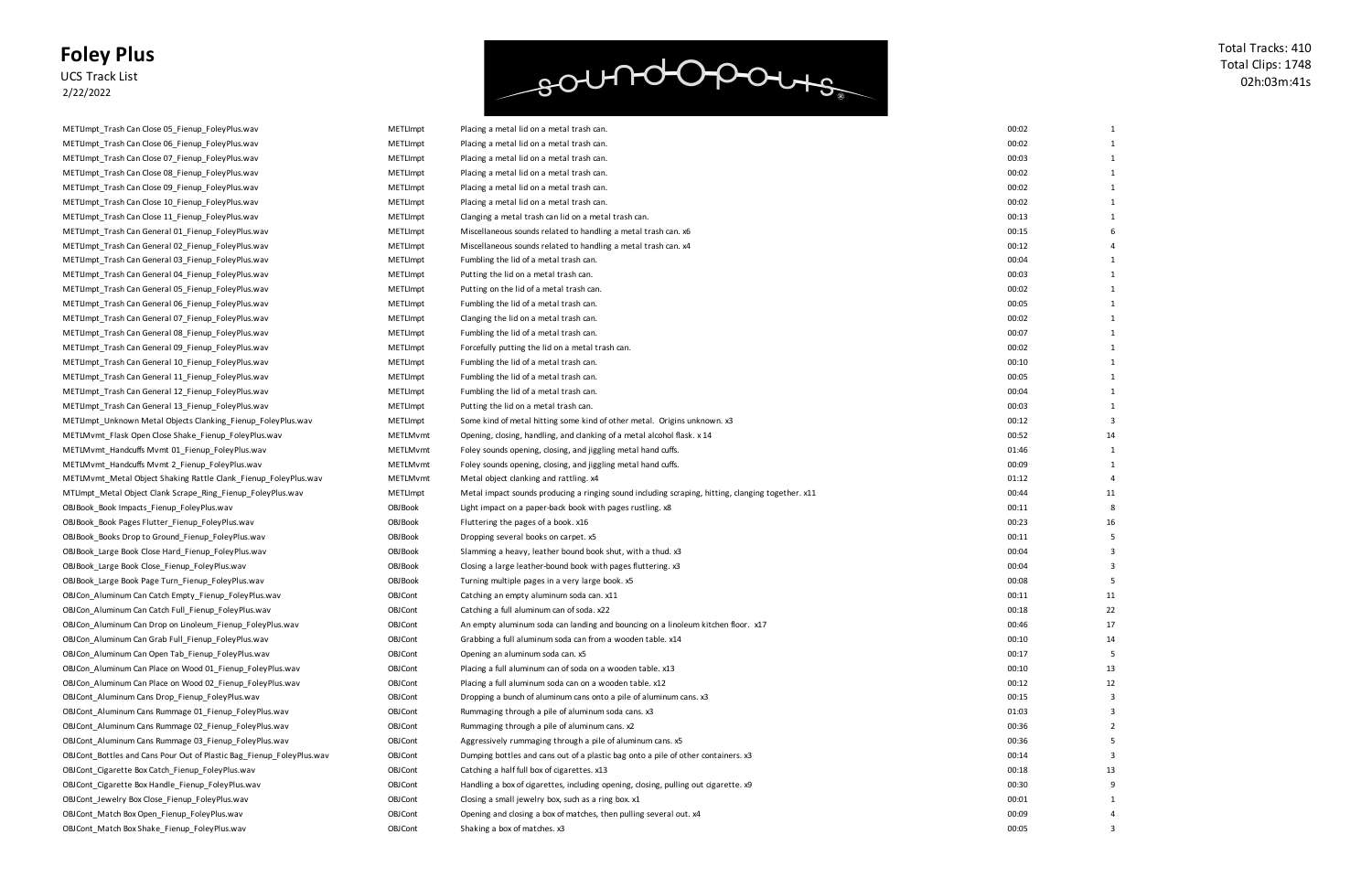#### **Foley Plus** UCS Track List

2/22/2022

# soundopours

| METLImpt_Trash Can Close 05_Fienup_FoleyPlus.wav                      |
|-----------------------------------------------------------------------|
| METLImpt_Trash Can Close 06_Fienup_FoleyPlus.wav                      |
| METLImpt_Trash Can Close 07_Fienup_FoleyPlus.wav                      |
| METLImpt_Trash Can Close 08_Fienup_FoleyPlus.wav                      |
| METLImpt_Trash Can Close 09_Fienup_FoleyPlus.wav                      |
| METLImpt_Trash Can Close 10_Fienup_FoleyPlus.wav                      |
| METLImpt_Trash Can Close 11_Fienup_FoleyPlus.wav                      |
| METLImpt_Trash Can General 01_Fienup_FoleyPlus.wav                    |
| METLImpt_Trash Can General 02_Fienup_FoleyPlus.wav                    |
| METLImpt_Trash Can General 03_Fienup_FoleyPlus.wav                    |
| METLImpt_Trash Can General 04_Fienup_FoleyPlus.wav                    |
| METLImpt_Trash Can General 05_Fienup_FoleyPlus.wav                    |
| METLImpt_Trash Can General 06_Fienup_FoleyPlus.wav                    |
| METLImpt_Trash Can General 07_Fienup_FoleyPlus.wav                    |
| METLImpt_Trash Can General 08_Fienup_FoleyPlus.wav                    |
| METLImpt Trash Can General 09 Fienup FoleyPlus.wav                    |
| METLImpt Trash Can General 10 Fienup FoleyPlus.wav                    |
| METLImpt_Trash Can General 11_Fienup_FoleyPlus.wav                    |
| METLImpt_Trash Can General 12_Fienup_FoleyPlus.wav                    |
| METLImpt Trash Can General 13 Fienup FoleyPlus.wav                    |
| METLImpt_Unknown Metal Objects Clanking_Fienup_FoleyPlus.wav          |
| METLMvmt_Flask Open Close Shake_Fienup_FoleyPlus.wav                  |
| METLMvmt_Handcuffs Mvmt 01_Fienup_FoleyPlus.wav                       |
|                                                                       |
| METLMvmt_Handcuffs Mvmt 2_Fienup_FoleyPlus.wav                        |
| METLMvmt_Metal Object Shaking Rattle Clank_Fienup_FoleyPlus.wav       |
| MTLImpt_Metal Object Clank Scrape_Ring_Fienup_FoleyPlus.wav           |
| OBJBook_Book Impacts_Fienup_FoleyPlus.wav                             |
| OBJBook_Book Pages Flutter_Fienup_FoleyPlus.wav                       |
| OBJBook_Books Drop to Ground_Fienup_FoleyPlus.wav                     |
| OBJBook_Large Book Close Hard_Fienup_FoleyPlus.wav                    |
| OBJBook_Large Book Close_Fienup_FoleyPlus.wav                         |
| OBJBook_Large Book Page Turn_Fienup_FoleyPlus.wav                     |
| OBJCon_Aluminum Can Catch Empty_Fienup_FoleyPlus.wav                  |
| OBJCon_Aluminum Can Catch Full_Fienup_FoleyPlus.wav                   |
| OBJCon Aluminum Can Drop on Linoleum Fienup FoleyPlus.wav             |
| OBJCon_Aluminum Can Grab Full_Fienup_FoleyPlus.wav                    |
| OBJCon Aluminum Can Open Tab Fienup FoleyPlus.wav                     |
| OBJCon_Aluminum Can Place on Wood 01_Fienup_FoleyPlus.wav             |
| OBJCon_Aluminum Can Place on Wood 02_Fienup_FoleyPlus.wav             |
| OBJCont Aluminum Cans Drop Fienup FoleyPlus.wav                       |
| OBJCont_Aluminum Cans Rummage 01_Fienup_FoleyPlus.wav                 |
| OBJ Cont_Aluminum Cans Rummage 02_Fienup_Foley Plus.wav               |
| OBJCont_Aluminum Cans Rummage 03_Fienup_FoleyPlus.wav                 |
| OBJCont_Bottles and Cans Pour Out of Plastic Bag_Fienup_FoleyPlus.wav |
| OBJCont_Cigarette Box Catch_Fienup_FoleyPlus.wav                      |
| OBJCont Cigarette Box Handle Fienup FoleyPlus.wav                     |
| OBJCont_Jewelry Box Close_Fienup_FoleyPlus.wav                        |
|                                                                       |
| OBJCont_Match Box Open_Fienup_FoleyPlus.wav                           |

Total Tracks: 410 Total Clips: 1748 02h:03m:41s

| 00:02 | 1                       |
|-------|-------------------------|
| 00:02 | 1                       |
| 00:03 | $\overline{1}$          |
| 00:02 | 1                       |
| 00:02 | 1                       |
| 00:02 | 1                       |
| 00:13 | 1                       |
| 00:15 | 6                       |
| 00:12 | 4                       |
| 00:04 | 1                       |
| 00:03 | 1                       |
| 00:02 | 1                       |
| 00:05 | 1                       |
| 00:02 | 1                       |
| 00:07 | $\overline{1}$          |
| 00:02 | $\mathbf{1}$            |
| 00:10 | 1                       |
| 00:05 | 1                       |
| 00:04 | 1                       |
| 00:03 | 1                       |
| 00:12 | 3                       |
| 00:52 | 14                      |
| 01:46 | 1                       |
| 00:09 | 1                       |
| 01:12 | 4                       |
| 00:44 | 11                      |
| 00:11 | 8                       |
| 00:23 | 16                      |
| 00:11 | 5                       |
| 00:04 | 3                       |
| 00:04 | 3                       |
| 00:08 | 5                       |
| 00:11 | 11                      |
| 00:18 | 22                      |
| 00:46 | 17                      |
| 00:10 | 14                      |
| 00:17 | 5                       |
| 00:10 | 13                      |
| 00:12 | 12                      |
| 00:15 | 3                       |
| 01:03 | 3                       |
| 00:36 | $\overline{\mathbf{c}}$ |
| 00:36 | 5                       |
| 00:14 | 3                       |
| 00:18 | 13                      |
| 00:30 | 9                       |
| 00:01 | 1                       |
| 00:09 | 4                       |
| 00:05 | 3                       |

| METLImpt_Trash Can Close 06_Fienup_FoleyPlus.wav                      | <b>METLImpt</b> | Placing a metal lid on a metal trash can.                                                         | 00:02 |    |
|-----------------------------------------------------------------------|-----------------|---------------------------------------------------------------------------------------------------|-------|----|
| METLImpt_Trash Can Close 07_Fienup_FoleyPlus.wav                      | METLImpt        | Placing a metal lid on a metal trash can.                                                         | 00:03 |    |
| METLImpt_Trash Can Close 08_Fienup_FoleyPlus.wav                      | <b>METLImpt</b> | Placing a metal lid on a metal trash can.                                                         | 00:02 |    |
| METLImpt_Trash Can Close 09_Fienup_FoleyPlus.wav                      | <b>METLImpt</b> | Placing a metal lid on a metal trash can.                                                         | 00:02 |    |
| METLImpt_Trash Can Close 10_Fienup_FoleyPlus.wav                      | <b>METLImpt</b> | Placing a metal lid on a metal trash can.                                                         | 00:02 |    |
| METLImpt_Trash Can Close 11_Fienup_FoleyPlus.wav                      | <b>METLImpt</b> | Clanging a metal trash can lid on a metal trash can.                                              | 00:13 |    |
| METLImpt_Trash Can General 01_Fienup_FoleyPlus.wav                    | <b>METLImpt</b> | Miscellaneous sounds related to handling a metal trash can. x6                                    | 00:15 |    |
| METLImpt_Trash Can General 02_Fienup_FoleyPlus.wav                    | <b>METLImpt</b> | Miscellaneous sounds related to handling a metal trash can. x4                                    | 00:12 |    |
| METLImpt_Trash Can General 03_Fienup_FoleyPlus.wav                    | <b>METLImpt</b> | Fumbling the lid of a metal trash can.                                                            | 00:04 |    |
| METLImpt_Trash Can General 04_Fienup_FoleyPlus.wav                    | <b>METLImpt</b> | Putting the lid on a metal trash can.                                                             | 00:03 |    |
| METLImpt_Trash Can General 05_Fienup_FoleyPlus.wav                    | <b>METLImpt</b> | Putting on the lid of a metal trash can.                                                          | 00:02 |    |
| METLImpt_Trash Can General 06_Fienup_FoleyPlus.wav                    | <b>METLImpt</b> | Fumbling the lid of a metal trash can.                                                            | 00:05 |    |
| METLImpt_Trash Can General 07_Fienup_FoleyPlus.wav                    | <b>METLImpt</b> | Clanging the lid on a metal trash can.                                                            | 00:02 |    |
| METLImpt_Trash Can General 08_Fienup_FoleyPlus.wav                    | <b>METLImpt</b> | Fumbling the lid of a metal trash can.                                                            | 00:07 |    |
| METLImpt_Trash Can General 09_Fienup_FoleyPlus.wav                    | <b>METLImpt</b> | Forcefully putting the lid on a metal trash can.                                                  | 00:02 |    |
| METLImpt_Trash Can General 10_Fienup_FoleyPlus.wav                    | <b>METLImpt</b> | Fumbling the lid of a metal trash can.                                                            | 00:10 |    |
| METLImpt_Trash Can General 11_Fienup_FoleyPlus.wav                    | <b>METLImpt</b> | Fumbling the lid of a metal trash can.                                                            | 00:05 |    |
| METLImpt_Trash Can General 12_Fienup_FoleyPlus.wav                    | <b>METLImpt</b> | Fumbling the lid of a metal trash can.                                                            | 00:04 |    |
| METLImpt_Trash Can General 13_Fienup_FoleyPlus.wav                    | <b>METLImpt</b> | Putting the lid on a metal trash can.                                                             | 00:03 |    |
| METLImpt_Unknown Metal Objects Clanking_Fienup_FoleyPlus.wav          | <b>METLImpt</b> | Some kind of metal hitting some kind of other metal. Origins unknown. x3                          | 00:12 |    |
| METLMvmt_Flask Open Close Shake_Fienup_FoleyPlus.wav                  | METLMvmt        | Opening, closing, handling, and clanking of a metal alcohol flask. x 14                           | 00:52 |    |
| METLMvmt_Handcuffs Mvmt 01_Fienup_FoleyPlus.wav                       | METLMvmt        | Foley sounds opening, closing, and jiggling metal hand cuffs.                                     | 01:46 |    |
| METLMvmt Handcuffs Mvmt 2 Fienup FoleyPlus.wav                        | METLMvmt        | Foley sounds opening, closing, and jiggling metal hand cuffs.                                     | 00:09 |    |
| METLMvmt_Metal Object Shaking Rattle Clank_Fienup_FoleyPlus.wav       | METLMvmt        | Metal object clanking and rattling. x4                                                            | 01:12 |    |
| MTLImpt_Metal Object Clank Scrape_Ring_Fienup_FoleyPlus.wav           | <b>METLImpt</b> | Metal impact sounds producing a ringing sound including scraping, hitting, clanging together. x11 | 00:44 | 11 |
| OBJBook_Book Impacts_Fienup_FoleyPlus.wav                             | <b>OBJ Book</b> | Light impact on a paper-back book with pages rustling. x8                                         | 00:11 |    |
| OBJBook_Book Pages Flutter_Fienup_FoleyPlus.wav                       | <b>OBJ Book</b> | Fluttering the pages of a book. x16                                                               | 00:23 |    |
| OBJBook_Books Drop to Ground_Fienup_FoleyPlus.wav                     | <b>OBJ Book</b> | Dropping several books on carpet. x5                                                              | 00:11 |    |
| OBJBook_Large Book Close Hard_Fienup_FoleyPlus.wav                    | <b>OBJ Book</b> | Slamming a heavy, leather bound book shut, with a thud. x3                                        | 00:04 |    |
| OBJBook_Large Book Close_Fienup_FoleyPlus.wav                         | <b>OBJ Book</b> | Closing a large leather-bound book with pages fluttering. x3                                      | 00:04 |    |
| OBJBook_Large Book Page Turn_Fienup_FoleyPlus.wav                     | <b>OBJ Book</b> | Turning multiple pages in a very large book. x5                                                   | 00:08 |    |
| OBJCon_Aluminum Can Catch Empty_Fienup_FoleyPlus.wav                  | <b>OBJCont</b>  | Catching an empty aluminum soda can. x11                                                          | 00:11 | 11 |
| OBJCon_Aluminum Can Catch Full_Fienup_FoleyPlus.wav                   | <b>OBJCont</b>  | Catching a full aluminum can of soda. x22                                                         | 00:18 | 22 |
| OBJCon_Aluminum Can Drop on Linoleum_Fienup_FoleyPlus.wav             | <b>OBJCont</b>  | An empty aluminum soda can landing and bouncing on a linoleum kitchen floor. x17                  | 00:46 | 17 |
| OBJCon Aluminum Can Grab Full Fienup FoleyPlus.wav                    | <b>OBJCont</b>  | Grabbing a full aluminum soda can from a wooden table. x14                                        | 00:10 | 14 |
| OBJCon Aluminum Can Open Tab Fienup FoleyPlus.wav                     | <b>OBJCont</b>  | Opening an aluminum soda can. x5                                                                  | 00:17 |    |
| OBJCon Aluminum Can Place on Wood 01 Fienup FoleyPlus.wav             | <b>OBJCont</b>  | Placing a full aluminum can of soda on a wooden table. x13                                        | 00:10 | 13 |
| OBJCon_Aluminum Can Place on Wood 02_Fienup_FoleyPlus.wav             | <b>OBJ Cont</b> | Placing a full aluminum soda can on a wooden table. x12                                           | 00:12 | 12 |
| OBJCont Aluminum Cans Drop Fienup FoleyPlus.wav                       | <b>OBJCont</b>  | Dropping a bunch of aluminum cans onto a pile of aluminum cans. x3                                | 00:15 |    |
| OBJCont_Aluminum Cans Rummage 01_Fienup_FoleyPlus.wav                 | <b>OBJ Cont</b> | Rummaging through a pile of aluminum soda cans. x3                                                | 01:03 |    |
| OBJCont_Aluminum Cans Rummage 02_Fienup_FoleyPlus.wav                 | <b>OBJ Cont</b> | Rummaging through a pile of aluminum cans. x2                                                     | 00:36 |    |
| OBJCont_Aluminum Cans Rummage 03_Fienup_FoleyPlus.wav                 | <b>OBJCont</b>  | Aggressively rummaging through a pile of aluminum cans. x5                                        | 00:36 |    |
| OBJCont_Bottles and Cans Pour Out of Plastic Bag_Fienup_FoleyPlus.wav | <b>OBJCont</b>  | Dumping bottles and cans out of a plastic bag onto a pile of other containers. x3                 | 00:14 |    |
| OBJCont Cigarette Box Catch Fienup FoleyPlus.wav                      | <b>OBJ Cont</b> | Catching a half full box of cigarettes. x13                                                       | 00:18 | 13 |
| OBJCont Cigarette Box Handle Fienup FoleyPlus.wav                     | <b>OBJCont</b>  | Handling a box of cigarettes, including opening, closing, pulling out cigarette. x9               | 00:30 |    |
| OBJCont_Jewelry Box Close_Fienup_FoleyPlus.wav                        | <b>OBJCont</b>  | Closing a small jewelry box, such as a ring box. x1                                               | 00:01 |    |
| OBJCont_Match Box Open_Fienup_FoleyPlus.wav                           | OBJCont         | Opening and closing a box of matches, then pulling several out. x4                                | 00:09 |    |
| OBJCont_Match Box Shake_Fienup_FoleyPlus.wav                          | <b>OBJCont</b>  | Shaking a box of matches. x3                                                                      | 00:05 |    |

METLImpt Placing a metal lid on a metal trash can.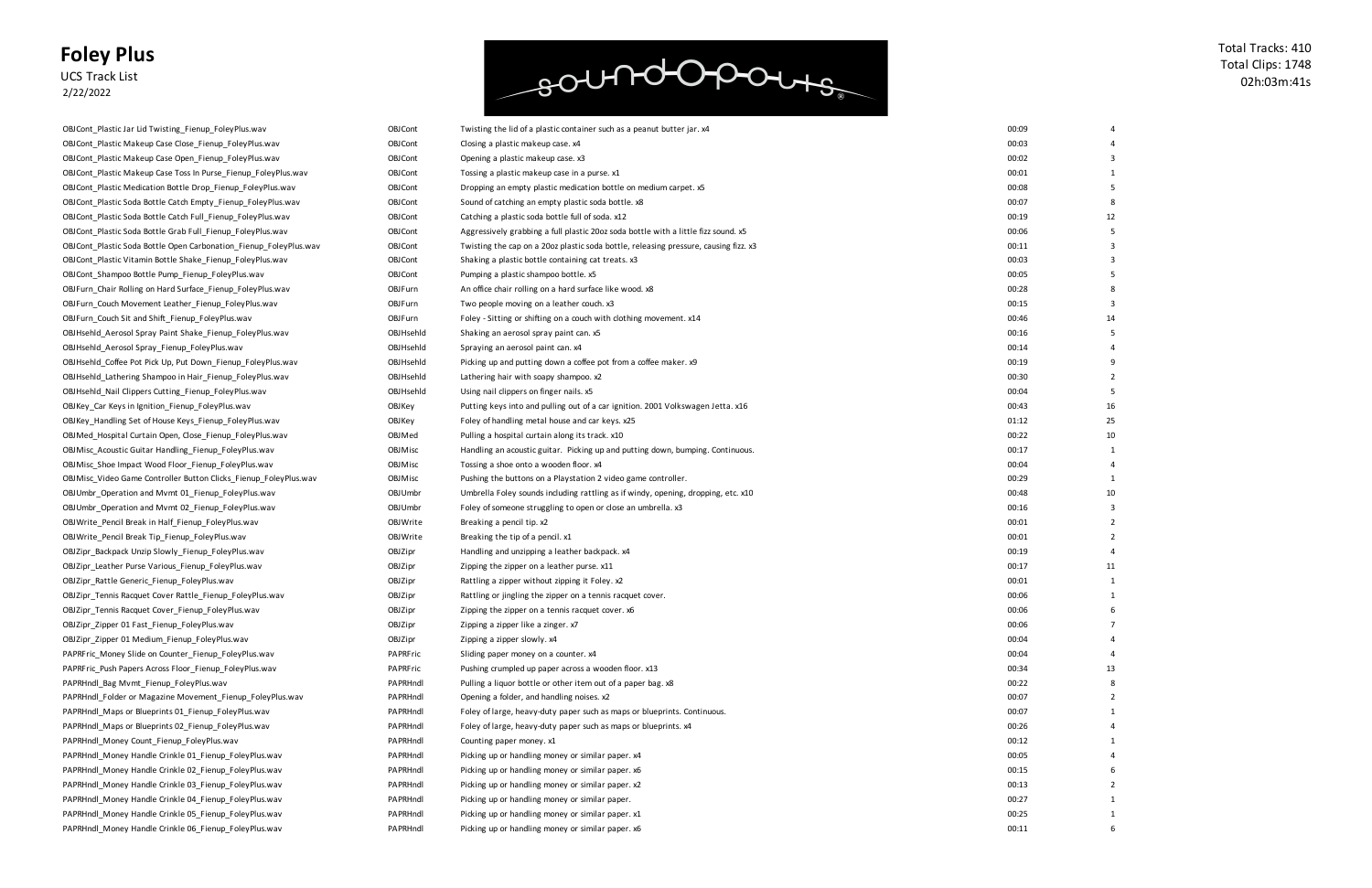#### **Foley Plus** UCS Track List

2/22/2022

### soundopours

| OBJCont_Plastic Jar Lid Twisting_Fienup_FoleyPlus.wav              |
|--------------------------------------------------------------------|
| OBJCont_Plastic Makeup Case Close_Fienup_FoleyPlus.wav             |
| OBJCont_Plastic Makeup Case Open_Fienup_FoleyPlus.wav              |
| OBJ Cont_Plastic Makeup Case Toss In Purse_Fienup_FoleyPlus.wav    |
| OBJ Cont_Plastic Medication Bottle Drop_Fienup_FoleyPlus.wav       |
| OBJ Cont Plastic Soda Bottle Catch Empty Fienup Foley Plus. wav    |
| OBJCont_Plastic Soda Bottle Catch Full_Fienup_FoleyPlus.wav        |
| OBJCont_Plastic Soda Bottle Grab Full_Fienup_FoleyPlus.wav         |
| OBJ Cont_Plastic Soda Bottle Open Carbonation_Fienup_FoleyPlus.wav |
| OBJ Cont Plastic Vitamin Bottle Shake Fienup Foley Plus.wav        |
| OBJCont Shampoo Bottle Pump Fienup FoleyPlus.wav                   |
| OBJFurn_Chair Rolling on Hard Surface_Fienup_FoleyPlus.wav         |
| OBJFurn_Couch Movement Leather_Fienup_FoleyPlus.wav                |
| OBJFurn_Couch Sit and Shift_Fienup_FoleyPlus.wav                   |
| OBJHsehld_Aerosol Spray Paint Shake_Fienup_FoleyPlus.wav           |
| OBJHsehld_Aerosol Spray_Fienup_FoleyPlus.wav                       |
| OBJHsehld Coffee Pot Pick Up, Put Down Fienup FoleyPlus.wav        |
| OBJHsehld_Lathering Shampoo in Hair_Fienup_FoleyPlus.wav           |
| OBJHsehld_Nail Clippers Cutting_Fienup_FoleyPlus.wav               |
| OBJKey_Car Keys in Ignition_Fienup_FoleyPlus.wav                   |
| OBJKey_Handling Set of House Keys_Fienup_FoleyPlus.wav             |
| OBJMed_Hospital Curtain Open, Close_Fienup_FoleyPlus.wav           |
| OBJMisc_Acoustic Guitar Handling_Fienup_FoleyPlus.wav              |
| OBJMisc_Shoe Impact Wood Floor_Fienup_FoleyPlus.wav                |
| OBJMisc_Video Game Controller Button Clicks_Fienup_FoleyPlus.wav   |
| OBJUmbr_Operation and Mvmt 01_Fienup_FoleyPlus.wav                 |
| OBJUmbr_Operation and Mvmt 02_Fienup_FoleyPlus.wav                 |
| OBJWrite_Pencil Break in Half_Fienup_FoleyPlus.wav                 |
| OBJWrite_Pencil Break Tip_Fienup_FoleyPlus.wav                     |
| OBJZipr_Backpack Unzip Slowly_Fienup_FoleyPlus.wav                 |
| OBJZipr_Leather Purse Various_Fienup_FoleyPlus.wav                 |
| OBJZipr Rattle Generic Fienup FoleyPlus.wav                        |
| OBJZipr_Tennis Racquet Cover Rattle_Fienup_FoleyPlus.wav           |
| OBJZipr_Tennis Racquet Cover_Fienup_FoleyPlus.wav                  |
| OBJZipr_Zipper 01 Fast_Fienup_FoleyPlus.wav                        |
| OBJZipr_Zipper 01 Medium_Fienup_FoleyPlus.wav                      |
| PAPRFric Money Slide on Counter Fienup FoleyPlus.wav               |
| PAPRFric_Push Papers Across Floor_Fienup_FoleyPlus.wav             |
| PAPRHndl Bag Mymt Fienup FoleyPlus.wav                             |
| PAPRHndl Folder or Magazine Movement Fienup FoleyPlus.wav          |
| PAPRHndl_Maps or Blueprints 01_Fienup_FoleyPlus.wav                |
| PAPRHndl_Maps or Blueprints 02_Fienup_FoleyPlus.wav                |
| PAPRHndl Money Count Fienup FoleyPlus.wav                          |
| PAPRHndl Money Handle Crinkle 01 Fienup FoleyPlus.wav              |
| PAPRHndl_Money Handle Crinkle 02_Fienup_FoleyPlus.wav              |
| PAPRHndl Money Handle Crinkle 03 Fienup FoleyPlus.wav              |
| PAPRHndl_Money Handle Crinkle 04_Fienup_FoleyPlus.wav              |
| PAPRHndl Money Handle Crinkle 05 Fienup FoleyPlus.wav              |
| PAPRHndl Money Handle Crinkle 06 Fienup FoleyPlus.wav              |

Total Tracks: 410 Total Clips: 1748 02h:03m:41s

| 00:09 | 4              |
|-------|----------------|
| 00:03 | 4              |
| 00:02 | 3              |
| 00:01 | 1              |
| 00:08 | 5              |
| 00:07 | 8              |
| 00:19 | 12             |
| 00:06 | 5              |
| 00:11 | 3              |
| 00:03 | 3              |
| 00:05 | 5              |
| 00:28 | 8              |
| 00:15 | 3              |
| 00:46 | 14             |
| 00:16 | 5              |
| 00:14 | 4              |
| 00:19 | 9              |
| 00:30 | 2              |
| 00:04 | 5              |
| 00:43 | 16             |
| 01:12 | 25             |
| 00:22 | 10             |
| 00:17 | 1              |
| 00:04 | 4              |
| 00:29 | 1              |
| 00:48 | 10             |
| 00:16 | 3              |
| 00:01 | 2              |
| 00:01 | 2              |
| 00:19 | 4              |
| 00:17 | 11             |
| 00:01 | 1              |
| 00:06 | 1              |
| 00:06 | 6              |
| 00:06 | 7              |
| 00:04 | 4              |
| 00:04 | 4              |
| 00:34 | 13             |
| 00:22 | 8              |
| 00:07 | 2              |
| 00:07 | 1              |
| 00:26 | 4              |
| 00:12 | $\mathbf{1}$   |
| 00:05 | 4              |
| 00:15 | 6              |
| 00:13 | $\overline{2}$ |
| 00:27 | 1              |
| 00:25 | $\overline{1}$ |
| 00:11 | 6              |

| OBJCont_Plastic Makeup Case Close_Fienup_FoleyPlus.wav            | <b>OBJ Cont</b> | Closing a plastic makeup case. x4                                                    | 00:03 |    |
|-------------------------------------------------------------------|-----------------|--------------------------------------------------------------------------------------|-------|----|
| OBJCont Plastic Makeup Case Open Fienup FoleyPlus.wav             | <b>OBJ Cont</b> | Opening a plastic makeup case. x3                                                    | 00:02 |    |
| OBJCont_Plastic Makeup Case Toss In Purse_Fienup_FoleyPlus.wav    | <b>OBJCont</b>  | Tossing a plastic makeup case in a purse. x1                                         | 00:01 |    |
| OBJCont_Plastic Medication Bottle Drop_Fienup_FoleyPlus.wav       | <b>OBJCont</b>  | Dropping an empty plastic medication bottle on medium carpet. x5                     | 00:08 |    |
| OBJCont_Plastic Soda Bottle Catch Empty_Fienup_FoleyPlus.wav      | <b>OBJCont</b>  | Sound of catching an empty plastic soda bottle. x8                                   | 00:07 |    |
| OBJCont_Plastic Soda Bottle Catch Full_Fienup_FoleyPlus.wav       | <b>OBJCont</b>  | Catching a plastic soda bottle full of soda. x12                                     | 00:19 |    |
| OBJCont_Plastic Soda Bottle Grab Full_Fienup_FoleyPlus.wav        | <b>OBJCont</b>  | Aggressively grabbing a full plastic 20oz soda bottle with a little fizz sound. x5   | 00:06 |    |
| OBJCont_Plastic Soda Bottle Open Carbonation_Fienup_FoleyPlus.wav | <b>OBJ Cont</b> | Twisting the cap on a 20oz plastic soda bottle, releasing pressure, causing fizz. x3 | 00:11 |    |
| OBJCont_Plastic Vitamin Bottle Shake_Fienup_FoleyPlus.wav         | <b>OBJCont</b>  | Shaking a plastic bottle containing cat treats. x3                                   | 00:03 |    |
| OBJCont Shampoo Bottle Pump Fienup FoleyPlus.wav                  | <b>OBJCont</b>  | Pumping a plastic shampoo bottle. x5                                                 | 00:05 |    |
| OBJFurn_Chair Rolling on Hard Surface_Fienup_FoleyPlus.wav        | OBJFurn         | An office chair rolling on a hard surface like wood. x8                              | 00:28 |    |
| OBJFurn_Couch Movement Leather_Fienup_FoleyPlus.wav               | OBJFurn         | Two people moving on a leather couch. x3                                             | 00:15 |    |
| OBJFurn_Couch Sit and Shift_Fienup_FoleyPlus.wav                  | OBJFurn         | Foley - Sitting or shifting on a couch with clothing movement. x14                   | 00:46 |    |
| OBJHsehld_Aerosol Spray Paint Shake_Fienup_FoleyPlus.wav          | OBJHsehld       | Shaking an aerosol spray paint can. x5                                               | 00:16 |    |
| OBJHsehld_Aerosol Spray_Fienup_FoleyPlus.wav                      | OBJHsehld       | Spraying an aerosol paint can. x4                                                    | 00:14 |    |
| OBJHsehld_Coffee Pot Pick Up, Put Down_Fienup_FoleyPlus.wav       | OBJHsehld       | Picking up and putting down a coffee pot from a coffee maker. x9                     | 00:19 |    |
| OBJHsehld_Lathering Shampoo in Hair_Fienup_FoleyPlus.wav          | OBJHsehld       | Lathering hair with soapy shampoo. x2                                                | 00:30 |    |
| OBJHsehld_Nail Clippers Cutting_Fienup_FoleyPlus.wav              | OBJHsehld       | Using nail clippers on finger nails. x5                                              | 00:04 |    |
| OBJKey_Car Keys in Ignition_Fienup_FoleyPlus.wav                  | OBJKey          | Putting keys into and pulling out of a car ignition. 2001 Volkswagen Jetta. x16      | 00:43 | 16 |
| OBJKey_Handling Set of House Keys_Fienup_FoleyPlus.wav            | OBJKey          | Foley of handling metal house and car keys. x25                                      | 01:12 | 25 |
| OBJMed_Hospital Curtain Open, Close_Fienup_FoleyPlus.wav          | OBJMed          | Pulling a hospital curtain along its track. x10                                      | 00:22 | 10 |
| OBJMisc_Acoustic Guitar Handling_Fienup_FoleyPlus.wav             | <b>OBJMisc</b>  | Handling an acoustic guitar. Picking up and putting down, bumping. Continuous.       | 00:17 |    |
| OBJMisc_Shoe Impact Wood Floor_Fienup_FoleyPlus.wav               | OBJMisc         | Tossing a shoe onto a wooden floor. x4                                               | 00:04 |    |
| OBJMisc_Video Game Controller Button Clicks_Fienup_FoleyPlus.wav  | OBJMisc         | Pushing the buttons on a Playstation 2 video game controller.                        | 00:29 |    |
| OBJUmbr_Operation and Mvmt 01_Fienup_FoleyPlus.wav                | OBJUmbr         | Umbrella Foley sounds including rattling as if windy, opening, dropping, etc. x10    | 00:48 |    |
| OBJUmbr_Operation and Mvmt 02_Fienup_FoleyPlus.wav                | <b>OBJUmbr</b>  | Foley of someone struggling to open or close an umbrella. x3                         | 00:16 |    |
| OBJWrite_Pencil Break in Half_Fienup_FoleyPlus.wav                | OBJWrite        | Breaking a pencil tip. x2                                                            | 00:01 |    |
| OBJWrite_Pencil Break Tip_Fienup_FoleyPlus.wav                    | OBJWrite        | Breaking the tip of a pencil. x1                                                     | 00:01 |    |
| OBJZipr_Backpack Unzip Slowly_Fienup_FoleyPlus.wav                | OBJZipr         | Handling and unzipping a leather backpack. x4                                        | 00:19 |    |
| OBJZipr_Leather Purse Various_Fienup_FoleyPlus.wav                | OBJZipr         | Zipping the zipper on a leather purse. x11                                           | 00:17 |    |
| OBJZipr_Rattle Generic_Fienup_FoleyPlus.wav                       | OBJZipr         | Rattling a zipper without zipping it Foley. x2                                       | 00:01 |    |
| OBJZipr_Tennis Racquet Cover Rattle_Fienup_FoleyPlus.wav          | OBJZipr         | Rattling or jingling the zipper on a tennis racquet cover.                           | 00:06 |    |
| OBJZipr_Tennis Racquet Cover_Fienup_FoleyPlus.wav                 | OBJZipr         | Zipping the zipper on a tennis racquet cover. x6                                     | 00:06 |    |
| OBJZipr_Zipper 01 Fast_Fienup_FoleyPlus.wav                       | OBJZipr         | Zipping a zipper like a zinger. x7                                                   | 00:06 |    |
| OBJZipr_Zipper 01 Medium_Fienup_FoleyPlus.wav                     | OBJZipr         | Zipping a zipper slowly. x4                                                          | 00:04 |    |
| PAPRFric_Money Slide on Counter_Fienup_FoleyPlus.wav              | PAPRFric        | Sliding paper money on a counter. x4                                                 | 00:04 |    |
| PAPRFric_Push Papers Across Floor_Fienup_FoleyPlus.wav            | PAPRFric        | Pushing crumpled up paper across a wooden floor. x13                                 | 00:34 | 13 |
| PAPRHndl Bag Mvmt Fienup FoleyPlus.wav                            | PAPRHndl        | Pulling a liquor bottle or other item out of a paper bag. x8                         | 00:22 |    |
| PAPRHndl_Folder or Magazine Movement_Fienup_FoleyPlus.wav         | PAPRHndl        | Opening a folder, and handling noises. x2                                            | 00:07 |    |
| PAPRHndl Maps or Blueprints 01 Fienup FoleyPlus.wav               | PAPRHndl        | Foley of large, heavy-duty paper such as maps or blueprints. Continuous.             | 00:07 |    |
| PAPRHndl_Maps or Blueprints 02_Fienup_FoleyPlus.wav               | PAPRHndl        | Foley of large, heavy-duty paper such as maps or blueprints. x4                      | 00:26 |    |
| PAPRHndl Money Count Fienup FoleyPlus.wav                         | PAPRHndl        | Counting paper money. x1                                                             | 00:12 |    |
| PAPRHndl Money Handle Crinkle 01 Fienup FoleyPlus.wav             | PAPRHndl        | Picking up or handling money or similar paper. x4                                    | 00:05 |    |
| PAPRHndl Money Handle Crinkle 02 Fienup FoleyPlus.wav             | PAPRHndl        | Picking up or handling money or similar paper. x6                                    | 00:15 |    |
| PAPRHndl_Money Handle Crinkle 03_Fienup_FoleyPlus.wav             | PAPRHndl        | Picking up or handling money or similar paper. x2                                    | 00:13 |    |
| PAPRHndl_Money Handle Crinkle 04_Fienup_FoleyPlus.wav             | PAPRHndl        | Picking up or handling money or similar paper.                                       | 00:27 |    |
| PAPRHndl_Money Handle Crinkle 05_Fienup_FoleyPlus.wav             | PAPRHndl        | Picking up or handling money or similar paper. x1                                    | 00:25 |    |
| PAPRHndl_Money Handle Crinkle 06_Fienup_FoleyPlus.wav             | PAPRHndl        | Picking up or handling money or similar paper. x6                                    | 00:11 |    |
|                                                                   |                 |                                                                                      |       |    |

OBJCont Twisting the lid of a plastic container such as a peanut butter jar. x4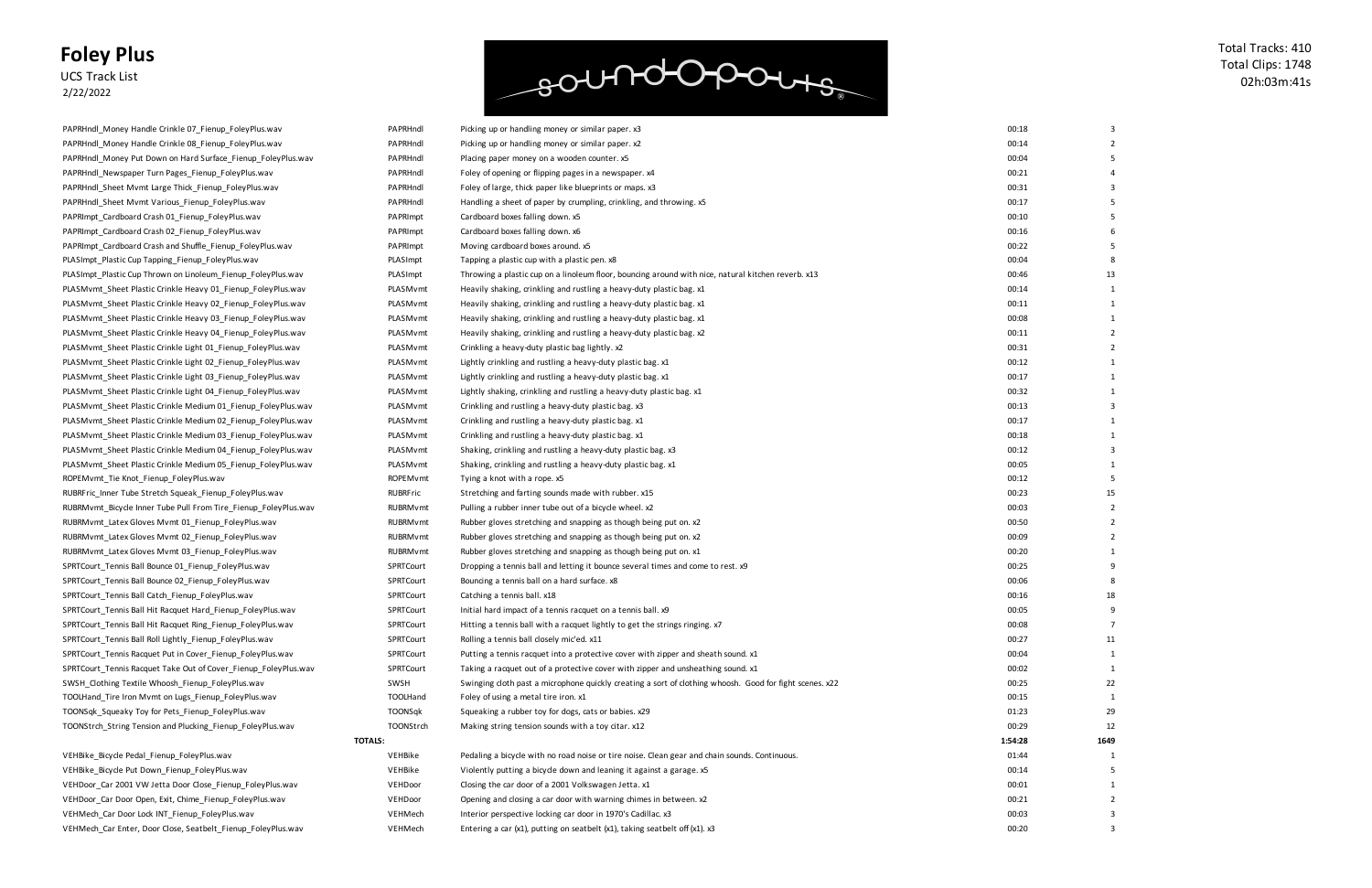UCS Track List 2/22/2022

VEHBike\_Bicycle Pedal\_Fienup\_FoleyPlus.wav discussed a bicycle with noise or tire noise or tire noise or tire n VEHBike\_Bicycle Put Down\_Fienup\_FoleyPlus.wav down and leaning it against a bicycle down and leaning views a v VEHDoor\_Car 2001 VW Jetta Door Close\_Fienup\_FoleyPlus.wav V VEHDoor\_Car Door Open, Exit, Chime\_Fienup\_FoleyPlus.wav vith warning a care with w VEHMech\_Car Door Lock INT\_Fienup\_FoleyPlus.wav versus care in 1970's Car door in 1970's Car door in 1970's Ca VEHMech\_Car Enter, Door Close, Seatbelt\_Fienup\_FoleyPlus.wav VEHMech Entering a car (x1), putting on seatbelt (x1), taking seatbelt off (x1). x3

soundopours

| 00:18 | 3                       |
|-------|-------------------------|
| 00:14 | $\overline{c}$          |
| 00:04 | 5                       |
| 00:21 | 4                       |
| 00:31 | 3                       |
| 00:17 | 5                       |
| 00:10 | 5                       |
| 00:16 | 6                       |
| 00:22 | 5                       |
| 00:04 | 8                       |
| 00:46 | 13                      |
| 00:14 | 1                       |
| 00:11 | 1                       |
| 00:08 | 1                       |
| 00:11 | $\overline{\mathbf{c}}$ |
| 00:31 | $\overline{2}$          |
| 00:12 | 1                       |
| 00:17 | 1                       |
| 00:32 | 1                       |
| 00:13 | 3                       |
| 00:17 | $\mathbf 1$             |
| 00:18 | 1                       |
| 00:12 | 3                       |
| 00:05 | 1                       |
| 00:12 | 5                       |
| 00:23 | 15                      |
| 00:03 | $\overline{\mathbf{c}}$ |
| 00:50 | $\overline{2}$          |
| 00:09 | $\overline{2}$          |
| 00:20 | 1                       |
| 00:25 | 9                       |
| 00:06 | 8                       |
| 00:16 | 18                      |
| 00:05 | 9                       |
| 00:08 | 7                       |
| 00:27 | 11                      |
| 00:04 | 1                       |
| 00:02 | 1                       |
| 00:25 | 22                      |
| 00:15 | 1                       |
| 01:23 | 29                      |
| 00:29 | 12                      |
| 54:28 | 1649                    |
| 01:44 | 1                       |
| 00:14 | 5                       |
| 00:01 | 1                       |
| 00:21 | 2                       |
| 00:03 | 3                       |
| 00:20 | 3                       |

| PAPRHndl Money Handle Crinkle 07_Fienup_FoleyPlus.wav           | PAPRHndl        | Picking up or handling money or similar paper. x3                                                       | 00:18   |           |
|-----------------------------------------------------------------|-----------------|---------------------------------------------------------------------------------------------------------|---------|-----------|
| PAPRHndl_Money Handle Crinkle 08_Fienup_FoleyPlus.wav           | PAPRHndl        | Picking up or handling money or similar paper. x2                                                       | 00:14   |           |
| PAPRHndl Money Put Down on Hard Surface Fienup FoleyPlus.wav    | PAPRHndl        | Placing paper money on a wooden counter. x5                                                             | 00:04   |           |
| PAPRHndl_Newspaper Turn Pages_Fienup_FoleyPlus.wav              | PAPRHndl        | Foley of opening or flipping pages in a newspaper. x4                                                   | 00:21   |           |
| PAPRHndl Sheet Mvmt Large Thick Fienup FoleyPlus.wav            | PAPRHndl        | Foley of large, thick paper like blueprints or maps. x3                                                 | 00:31   |           |
| PAPRHndl_Sheet Mvmt Various_Fienup_FoleyPlus.wav                | PAPRHndl        | Handling a sheet of paper by crumpling, crinkling, and throwing. x5                                     | 00:17   |           |
| PAPRImpt_Cardboard Crash 01_Fienup_FoleyPlus.wav                | PAPRImpt        | Cardboard boxes falling down. x5                                                                        | 00:10   |           |
| PAPRImpt_Cardboard Crash 02_Fienup_FoleyPlus.wav                | PAPRImpt        | Cardboard boxes falling down. x6                                                                        | 00:16   |           |
| PAPRImpt_Cardboard Crash and Shuffle_Fienup_FoleyPlus.wav       | PAPRImpt        | Moving cardboard boxes around. x5                                                                       | 00:22   |           |
| PLASImpt_Plastic Cup Tapping_Fienup_FoleyPlus.wav               | PLASImpt        | Tapping a plastic cup with a plastic pen. x8                                                            | 00:04   |           |
| PLASImpt Plastic Cup Thrown on Linoleum Fienup FoleyPlus.wav    | PLASImpt        | Throwing a plastic cup on a linoleum floor, bouncing around with nice, natural kitchen reverb. x13      | 00:46   |           |
| PLASMvmt_Sheet Plastic Crinkle Heavy 01_Fienup_FoleyPlus.wav    | PLASMvmt        | Heavily shaking, crinkling and rustling a heavy-duty plastic bag. x1                                    | 00:14   |           |
| PLASMvmt_Sheet Plastic Crinkle Heavy 02_Fienup_FoleyPlus.wav    | PLASMvmt        | Heavily shaking, crinkling and rustling a heavy-duty plastic bag. x1                                    | 00:11   |           |
| PLASMvmt_Sheet Plastic Crinkle Heavy 03_Fienup_FoleyPlus.wav    | PLASMvmt        | Heavily shaking, crinkling and rustling a heavy-duty plastic bag. x1                                    | 00:08   |           |
| PLASMvmt_Sheet Plastic Crinkle Heavy 04_Fienup_FoleyPlus.wav    | PLASMvmt        | Heavily shaking, crinkling and rustling a heavy-duty plastic bag. x2                                    | 00:11   |           |
| PLASMvmt Sheet Plastic Crinkle Light 01 Fienup FoleyPlus.wav    | PLASMvmt        | Crinkling a heavy-duty plastic bag lightly. x2                                                          | 00:31   |           |
| PLASMvmt_Sheet Plastic Crinkle Light 02_Fienup_FoleyPlus.wav    | PLASMvmt        | Lightly crinkling and rustling a heavy-duty plastic bag. x1                                             | 00:12   |           |
| PLASMvmt_Sheet Plastic Crinkle Light 03_Fienup_FoleyPlus.wav    | PLASMvmt        | Lightly crinkling and rustling a heavy-duty plastic bag. x1                                             | 00:17   |           |
| PLASMvmt_Sheet Plastic Crinkle Light 04_Fienup_FoleyPlus.wav    | PLASMvmt        | Lightly shaking, crinkling and rustling a heavy-duty plastic bag. x1                                    | 00:32   |           |
| PLASMvmt_Sheet Plastic Crinkle Medium 01_Fienup_FoleyPlus.wav   | PLASMvmt        | Crinkling and rustling a heavy-duty plastic bag. x3                                                     | 00:13   |           |
| PLASMvmt Sheet Plastic Crinkle Medium 02 Fienup FoleyPlus.wav   | PLASMvmt        | Crinkling and rustling a heavy-duty plastic bag. x1                                                     | 00:17   |           |
| PLASMvmt_Sheet Plastic Crinkle Medium 03_Fienup_FoleyPlus.wav   | PLASMvmt        | Crinkling and rustling a heavy-duty plastic bag. x1                                                     | 00:18   |           |
| PLASMvmt_Sheet Plastic Crinkle Medium 04_Fienup_FoleyPlus.wav   | PLASMvmt        | Shaking, crinkling and rustling a heavy-duty plastic bag. x3                                            | 00:12   |           |
| PLASMvmt_Sheet Plastic Crinkle Medium 05_Fienup_FoleyPlus.wav   | PLASMvmt        | Shaking, crinkling and rustling a heavy-duty plastic bag. x1                                            | 00:05   |           |
| ROPEMvmt_Tie Knot_Fienup_FoleyPlus.wav                          | ROPEMvmt        | Tying a knot with a rope. x5                                                                            | 00:12   |           |
| RUBRFric_Inner Tube Stretch Squeak_Fienup_FoleyPlus.wav         | RUBRFric        | Stretching and farting sounds made with rubber. x15                                                     | 00:23   |           |
| RUBRMvmt_Bicycle Inner Tube Pull From Tire_Fienup_FoleyPlus.wav | <b>RUBRMvmt</b> | Pulling a rubber inner tube out of a bicycle wheel. x2                                                  | 00:03   |           |
| RUBRMvmt_Latex Gloves Mvmt 01_Fienup_FoleyPlus.wav              | <b>RUBRMvmt</b> | Rubber gloves stretching and snapping as though being put on. x2                                        | 00:50   |           |
| RUBRMvmt_Latex Gloves Mvmt 02_Fienup_FoleyPlus.wav              | <b>RUBRMvmt</b> | Rubber gloves stretching and snapping as though being put on. x2                                        | 00:09   |           |
| RUBRMvmt_Latex Gloves Mvmt 03_Fienup_FoleyPlus.wav              | <b>RUBRMvmt</b> | Rubber gloves stretching and snapping as though being put on. x1                                        | 00:20   |           |
| SPRTCourt_Tennis Ball Bounce 01_Fienup_FoleyPlus.wav            | SPRTCourt       | Dropping a tennis ball and letting it bounce several times and come to rest. x9                         | 00:25   |           |
| SPRTCourt_Tennis Ball Bounce 02_Fienup_FoleyPlus.wav            | SPRTCourt       | Bouncing a tennis ball on a hard surface. x8                                                            | 00:06   |           |
| SPRTCourt_Tennis Ball Catch_Fienup_FoleyPlus.wav                | SPRTCourt       | Catching a tennis ball. x18                                                                             | 00:16   |           |
| SPRTCourt Tennis Ball Hit Racquet Hard Fienup FoleyPlus.wav     | SPRTCourt       | Initial hard impact of a tennis racquet on a tennis ball. x9                                            | 00:05   |           |
| SPRTCourt_Tennis Ball Hit Racquet Ring_Fienup_FoleyPlus.wav     | SPRTCourt       | Hitting a tennis ball with a racquet lightly to get the strings ringing. x7                             | 00:08   |           |
| SPRTCourt_Tennis Ball Roll Lightly_Fienup_FoleyPlus.wav         | SPRTCourt       | Rolling a tennis ball closely mic'ed. x11                                                               | 00:27   | -11       |
| SPRTCourt Tennis Racquet Put in Cover Fienup FoleyPlus.wav      | SPRTCourt       | Putting a tennis racquet into a protective cover with zipper and sheath sound. x1                       | 00:04   |           |
| SPRTCourt_Tennis Racquet Take Out of Cover_Fienup_FoleyPlus.wav | SPRTCourt       | Taking a racquet out of a protective cover with zipper and unsheathing sound. x1                        | 00:02   |           |
| SWSH Clothing Textile Whoosh Fienup FoleyPlus.wav               | SWSH            | Swinging cloth past a microphone quickly creating a sort of clothing whoosh. Good for fight scenes. x22 | 00:25   | 22        |
| TOOLHand_Tire Iron Mvmt on Lugs_Fienup_FoleyPlus.wav            | TOOLHand        | Foley of using a metal tire iron. x1                                                                    | 00:15   |           |
| TOONSqk_Squeaky Toy for Pets_Fienup_FoleyPlus.wav               | TOONSqk         | Squeaking a rubber toy for dogs, cats or babies. x29                                                    | 01:23   | <b>29</b> |
| TOONStrch_String Tension and Plucking_Fienup_FoleyPlus.wav      | TOONStrch       | Making string tension sounds with a toy citar. x12                                                      | 00:29   | 12        |
|                                                                 | <b>TOTALS:</b>  |                                                                                                         | 1:54:28 | 1649      |
| VEHBike Bicycle Pedal Fienup FoleyPlus.wav                      | VEHBike         | Pedaling a bicycle with no road noise or tire noise. Clean gear and chain sounds. Continuous.           | 01:44   |           |
| VEHBike_Bicycle Put Down_Fienup_FoleyPlus.wav                   | VEHBike         | Violently putting a bicycle down and leaning it against a garage. x5                                    | 00:14   |           |
| VEHDoor Car 2001 VW Jetta Door Close Fienup FoleyPlus.wav       | VEHDoor         | Closing the car door of a 2001 Volkswagen Jetta. x1                                                     | 00:01   |           |
| VEHDoor_Car Door Open, Exit, Chime_Fienup_FoleyPlus.wav         | VEHDoor         | Opening and closing a car door with warning chimes in between. x2                                       | 00:21   |           |
| VEHMech_Car Door Lock INT_Fienup_FoleyPlus.wav                  | VEHMech         | Interior perspective locking car door in 1970's Cadillac. x3                                            | 00:03   |           |
|                                                                 |                 |                                                                                                         |         |           |